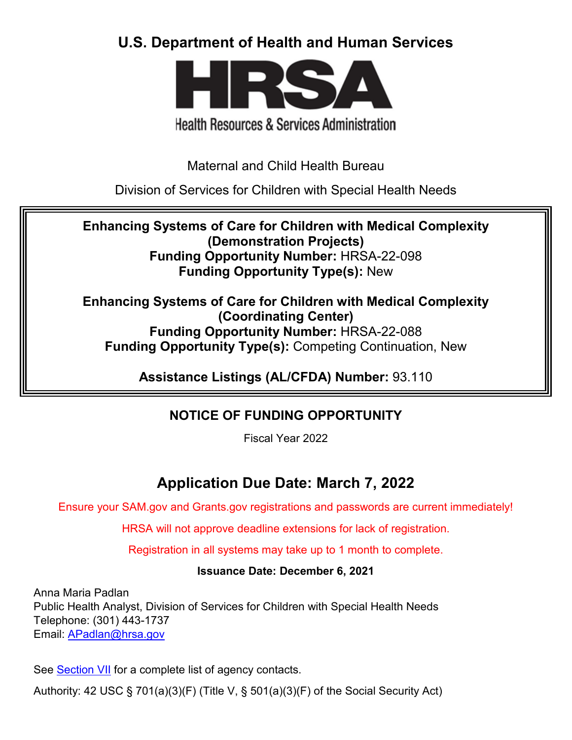# **U.S. Department of Health and Human Services**



# **Health Resources & Services Administration**

Maternal and Child Health Bureau

Division of Services for Children with Special Health Needs

**Enhancing Systems of Care for Children with Medical Complexity (Demonstration Projects) Funding Opportunity Number:** HRSA-22-098 **Funding Opportunity Type(s):** New

**Enhancing Systems of Care for Children with Medical Complexity (Coordinating Center) Funding Opportunity Number:** HRSA-22-088 **Funding Opportunity Type(s):** Competing Continuation, New

**Assistance Listings (AL/CFDA) Number:** 93.110

# **NOTICE OF FUNDING OPPORTUNITY**

Fiscal Year 2022

# **Application Due Date: March 7, 2022**

Ensure your SAM.gov and Grants.gov registrations and passwords are current immediately!

HRSA will not approve deadline extensions for lack of registration.

Registration in all systems may take up to 1 month to complete.

## **Issuance Date: December 6, 2021**

Anna Maria Padlan Public Health Analyst, Division of Services for Children with Special Health Needs Telephone: (301) 443-1737 Email: [APadlan@hrsa.gov](mailto:APadlan@hrsa.gov)

See [Section VII](#page-39-0) for a complete list of agency contacts.

Authority: 42 USC § 701(a)(3)(F) (Title V, § 501(a)(3)(F) of the Social Security Act)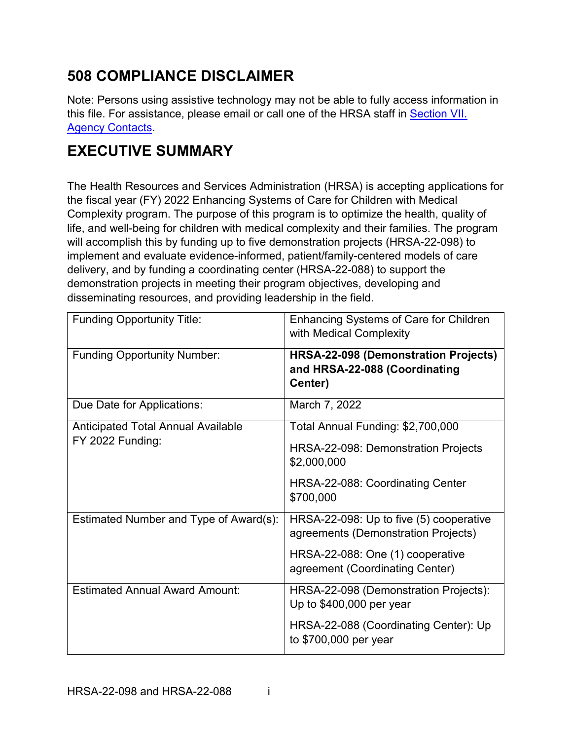# **508 COMPLIANCE DISCLAIMER**

Note: Persons using assistive technology may not be able to fully access information in this file. For assistance, please email or call one of the HRSA staff in [Section VII.](#page-39-0)  [Agency Contacts.](#page-39-0)

# **EXECUTIVE SUMMARY**

The Health Resources and Services Administration (HRSA) is accepting applications for the fiscal year (FY) 2022 Enhancing Systems of Care for Children with Medical Complexity program. The purpose of this program is to optimize the health, quality of life, and well-being for children with medical complexity and their families. The program will accomplish this by funding up to five demonstration projects (HRSA-22-098) to implement and evaluate evidence-informed, patient/family-centered models of care delivery, and by funding a coordinating center (HRSA-22-088) to support the demonstration projects in meeting their program objectives, developing and disseminating resources, and providing leadership in the field.

| <b>Funding Opportunity Title:</b>         | Enhancing Systems of Care for Children<br>with Medical Complexity                       |  |
|-------------------------------------------|-----------------------------------------------------------------------------------------|--|
| <b>Funding Opportunity Number:</b>        | <b>HRSA-22-098 (Demonstration Projects)</b><br>and HRSA-22-088 (Coordinating<br>Center) |  |
| Due Date for Applications:                | March 7, 2022                                                                           |  |
| <b>Anticipated Total Annual Available</b> | Total Annual Funding: \$2,700,000                                                       |  |
| FY 2022 Funding:                          | HRSA-22-098: Demonstration Projects<br>\$2,000,000                                      |  |
|                                           | HRSA-22-088: Coordinating Center<br>\$700,000                                           |  |
| Estimated Number and Type of Award(s):    | HRSA-22-098: Up to five (5) cooperative<br>agreements (Demonstration Projects)          |  |
|                                           | HRSA-22-088: One (1) cooperative<br>agreement (Coordinating Center)                     |  |
| <b>Estimated Annual Award Amount:</b>     | HRSA-22-098 (Demonstration Projects):<br>Up to \$400,000 per year                       |  |
|                                           | HRSA-22-088 (Coordinating Center): Up<br>to \$700,000 per year                          |  |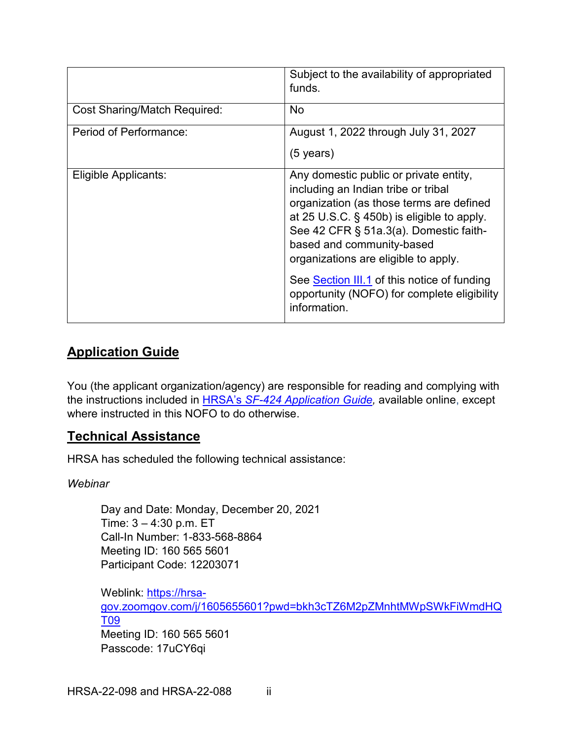|                              | Subject to the availability of appropriated<br>funds.                                                                                                                                                                                                                                  |
|------------------------------|----------------------------------------------------------------------------------------------------------------------------------------------------------------------------------------------------------------------------------------------------------------------------------------|
| Cost Sharing/Match Required: | <b>No</b>                                                                                                                                                                                                                                                                              |
| Period of Performance:       | August 1, 2022 through July 31, 2027<br>$(5 \text{ years})$                                                                                                                                                                                                                            |
| Eligible Applicants:         | Any domestic public or private entity,<br>including an Indian tribe or tribal<br>organization (as those terms are defined<br>at 25 U.S.C. § 450b) is eligible to apply.<br>See 42 CFR § 51a.3(a). Domestic faith-<br>based and community-based<br>organizations are eligible to apply. |
|                              | See Section III.1 of this notice of funding<br>opportunity (NOFO) for complete eligibility<br>information.                                                                                                                                                                             |

## **Application Guide**

You (the applicant organization/agency) are responsible for reading and complying with the instructions included in HRSA's *SF-424 [Application Guide,](http://www.hrsa.gov/grants/apply/applicationguide/sf424guide.pdf)* available online, except where instructed in this NOFO to do otherwise.

## **Technical Assistance**

HRSA has scheduled the following technical assistance:

#### *Webinar*

Day and Date: Monday, December 20, 2021 Time: 3 – 4:30 p.m. ET Call-In Number: 1-833-568-8864 Meeting ID: 160 565 5601 Participant Code: 12203071

Weblink: [https://hrsa](https://hrsa-gov.zoomgov.com/j/1605655601?pwd=bkh3cTZ6M2pZMnhtMWpSWkFiWmdHQT09)[gov.zoomgov.com/j/1605655601?pwd=bkh3cTZ6M2pZMnhtMWpSWkFiWmdHQ](https://hrsa-gov.zoomgov.com/j/1605655601?pwd=bkh3cTZ6M2pZMnhtMWpSWkFiWmdHQT09) [T09](https://hrsa-gov.zoomgov.com/j/1605655601?pwd=bkh3cTZ6M2pZMnhtMWpSWkFiWmdHQT09) Meeting ID: 160 565 5601 Passcode: 17uCY6qi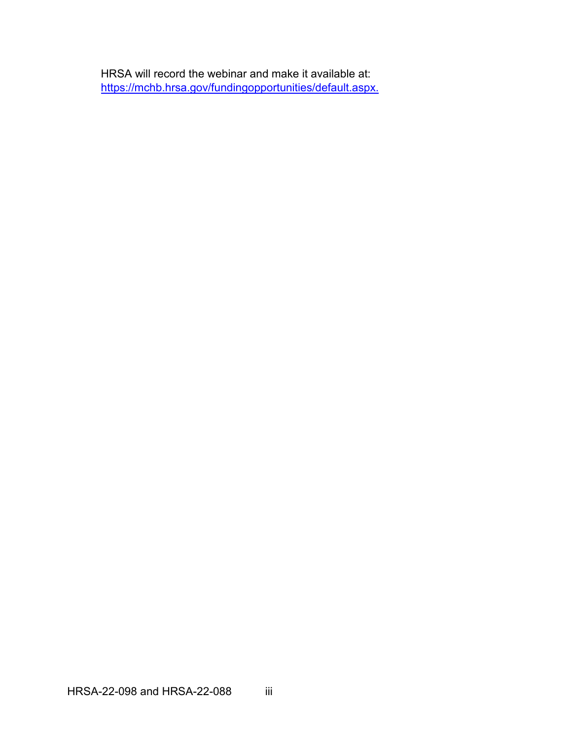HRSA will record the webinar and make it available at: [https://mchb.hrsa.gov/fundingopportunities/default.aspx.](https://mchb.hrsa.gov/fundingopportunities/default.aspx)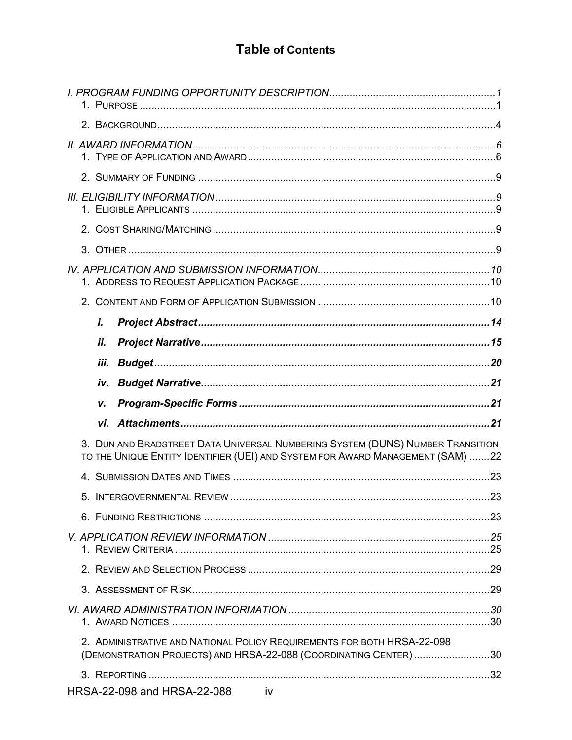## **Table of Contents**

| i.                                                                                                                                                               |  |
|------------------------------------------------------------------------------------------------------------------------------------------------------------------|--|
| ii.                                                                                                                                                              |  |
| iii.                                                                                                                                                             |  |
|                                                                                                                                                                  |  |
|                                                                                                                                                                  |  |
| v.                                                                                                                                                               |  |
|                                                                                                                                                                  |  |
| 3. DUN AND BRADSTREET DATA UNIVERSAL NUMBERING SYSTEM (DUNS) NUMBER TRANSITION<br>TO THE UNIQUE ENTITY IDENTIFIER (UEI) AND SYSTEM FOR AWARD MANAGEMENT (SAM) 22 |  |
| 4                                                                                                                                                                |  |
|                                                                                                                                                                  |  |
|                                                                                                                                                                  |  |
|                                                                                                                                                                  |  |
|                                                                                                                                                                  |  |
|                                                                                                                                                                  |  |
|                                                                                                                                                                  |  |
| 2. ADMINISTRATIVE AND NATIONAL POLICY REQUIREMENTS FOR BOTH HRSA-22-098<br>(DEMONSTRATION PROJECTS) AND HRSA-22-088 (COORDINATING CENTER)30                      |  |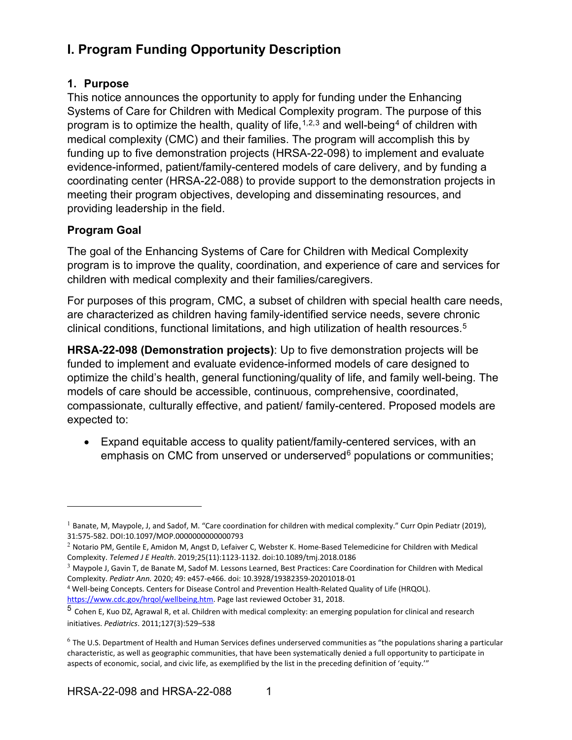# <span id="page-6-0"></span>**I. Program Funding Opportunity Description**

### <span id="page-6-1"></span>**1. Purpose**

This notice announces the opportunity to apply for funding under the Enhancing Systems of Care for Children with Medical Complexity program. The purpose of this program is to optimize the health, quality of life,  $1,2,3$  $1,2,3$  $1,2,3$  and well-being<sup>[4](#page-6-5)</sup> of children with medical complexity (CMC) and their families. The program will accomplish this by funding up to five demonstration projects (HRSA-22-098) to implement and evaluate evidence-informed, patient/family-centered models of care delivery, and by funding a coordinating center (HRSA-22-088) to provide support to the demonstration projects in meeting their program objectives, developing and disseminating resources, and providing leadership in the field.

## <span id="page-6-8"></span>**Program Goal**

 $\overline{a}$ 

The goal of the Enhancing Systems of Care for Children with Medical Complexity program is to improve the quality, coordination, and experience of care and services for children with medical complexity and their families/caregivers.

For purposes of this program, CMC, a subset of children with special health care needs, are characterized as children having family-identified service needs, severe chronic clinical conditions, functional limitations, and high utilization of health resources.<sup>[5](#page-6-6)</sup>

**HRSA-22-098 (Demonstration projects)**: Up to five demonstration projects will be funded to implement and evaluate evidence-informed models of care designed to optimize the child's health, general functioning/quality of life, and family well-being. The models of care should be accessible, continuous, comprehensive, coordinated, compassionate, culturally effective, and patient/ family-centered. Proposed models are expected to:

• Expand equitable access to quality patient/family-centered services, with an emphasis on CMC from unserved or underserved $6$  populations or communities;

<span id="page-6-2"></span> $1$  Banate, M, Maypole, J, and Sadof, M. "Care coordination for children with medical complexity." Curr Opin Pediatr (2019), 31:575-582. DOI:10.1097/MOP.0000000000000793

<span id="page-6-3"></span> $2$  Notario PM, Gentile E, Amidon M, Angst D, Lefaiver C, Webster K. Home-Based Telemedicine for Children with Medical Complexity. *Telemed J E Health*. 2019;25(11):1123-1132. doi:10.1089/tmj.2018.0186

<span id="page-6-4"></span> $3$  Maypole J, Gavin T, de Banate M, Sadof M. Lessons Learned, Best Practices: Care Coordination for Children with Medical Complexity. *Pediatr Ann.* 2020; 49: e457-e466. doi: 10.3928/19382359-20201018-01

<span id="page-6-5"></span><sup>4</sup> Well-being Concepts. Centers for Disease Control and Prevention Health-Related Quality of Life (HRQOL). [https://www.cdc.gov/hrqol/wellbeing.htm.](https://www.cdc.gov/hrqol/wellbeing.htm) Page last reviewed October 31, 2018.

<span id="page-6-6"></span><sup>5</sup> Cohen E, Kuo DZ, Agrawal R, et al. Children with medical complexity: an emerging population for clinical and research initiatives. *Pediatrics*. 2011;127(3):529–538

<span id="page-6-7"></span> $6$  The U.S. Department of Health and Human Services defines underserved communities as "the populations sharing a particular characteristic, as well as geographic communities, that have been systematically denied a full opportunity to participate in aspects of economic, social, and civic life, as exemplified by the list in the preceding definition of 'equity.'"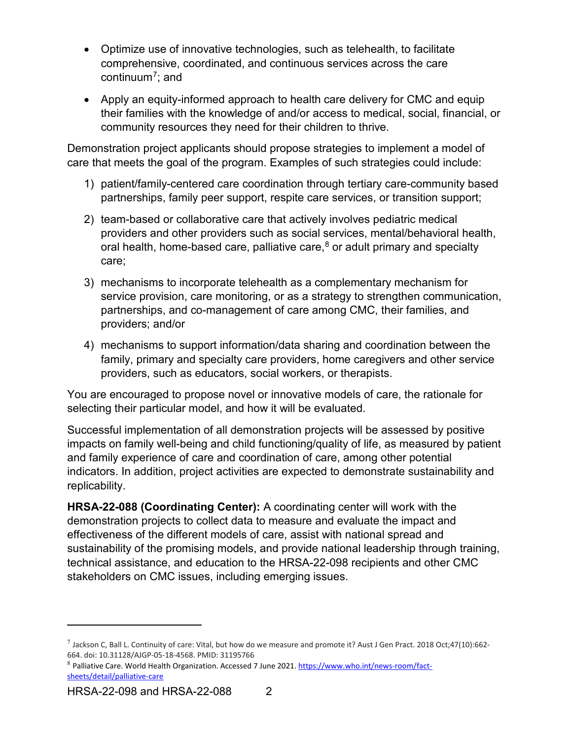- Optimize use of innovative technologies, such as telehealth, to facilitate comprehensive, coordinated, and continuous services across the care continuum[7](#page-7-0); and
- Apply an equity-informed approach to health care delivery for CMC and equip their families with the knowledge of and/or access to medical, social, financial, or community resources they need for their children to thrive.

Demonstration project applicants should propose strategies to implement a model of care that meets the goal of the program. Examples of such strategies could include:

- 1) patient/family-centered care coordination through tertiary care-community based partnerships, family peer support, respite care services, or transition support;
- 2) team-based or collaborative care that actively involves pediatric medical providers and other providers such as social services, mental/behavioral health, oral health, home-based care, palliative care,  $8$  or adult primary and specialty care;
- 3) mechanisms to incorporate telehealth as a complementary mechanism for service provision, care monitoring, or as a strategy to strengthen communication, partnerships, and co-management of care among CMC, their families, and providers; and/or
- 4) mechanisms to support information/data sharing and coordination between the family, primary and specialty care providers, home caregivers and other service providers, such as educators, social workers, or therapists.

You are encouraged to propose novel or innovative models of care, the rationale for selecting their particular model, and how it will be evaluated.

Successful implementation of all demonstration projects will be assessed by positive impacts on family well-being and child functioning/quality of life, as measured by patient and family experience of care and coordination of care, among other potential indicators. In addition, project activities are expected to demonstrate sustainability and replicability.

**HRSA-22-088 (Coordinating Center):** A coordinating center will work with the demonstration projects to collect data to measure and evaluate the impact and effectiveness of the different models of care, assist with national spread and sustainability of the promising models, and provide national leadership through training, technical assistance, and education to the HRSA-22-098 recipients and other CMC stakeholders on CMC issues, including emerging issues.

<span id="page-7-0"></span> $^7$  Jackson C, Ball L. Continuity of care: Vital, but how do we measure and promote it? Aust J Gen Pract. 2018 Oct;47(10):662-664. doi: 10.31128/AJGP-05-18-4568. PMID: 31195766

<span id="page-7-1"></span><sup>8</sup> Palliative Care. World Health Organization. Accessed 7 June 2021. [https://www.who.int/news-room/fact](https://www.who.int/news-room/fact-sheets/detail/palliative-care)[sheets/detail/palliative-care](https://www.who.int/news-room/fact-sheets/detail/palliative-care)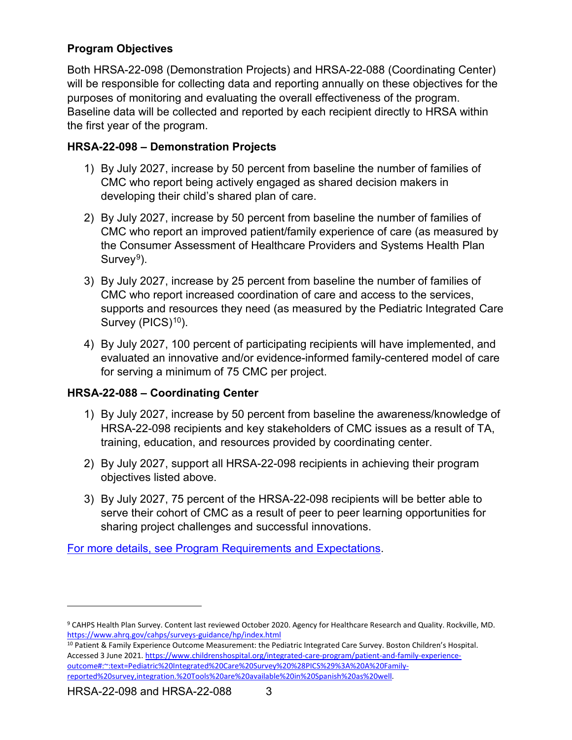## <span id="page-8-2"></span>**Program Objectives**

Both HRSA-22-098 (Demonstration Projects) and HRSA-22-088 (Coordinating Center) will be responsible for collecting data and reporting annually on these objectives for the purposes of monitoring and evaluating the overall effectiveness of the program. Baseline data will be collected and reported by each recipient directly to HRSA within the first year of the program.

## **HRSA-22-098 – Demonstration Projects**

- 1) By July 2027, increase by 50 percent from baseline the number of families of CMC who report being actively engaged as shared decision makers in developing their child's shared plan of care.
- 2) By July 2027, increase by 50 percent from baseline the number of families of CMC who report an improved patient/family experience of care (as measured by the Consumer Assessment of Healthcare Providers and Systems Health Plan Survey<sup>[9](#page-8-0)</sup>).
- 3) By July 2027, increase by 25 percent from baseline the number of families of CMC who report increased coordination of care and access to the services, supports and resources they need (as measured by the Pediatric Integrated Care Survey (PICS)<sup>[10](#page-8-1)</sup>).
- 4) By July 2027, 100 percent of participating recipients will have implemented, and evaluated an innovative and/or evidence-informed family-centered model of care for serving a minimum of 75 CMC per project.

## **HRSA-22-088 – Coordinating Center**

- 1) By July 2027, increase by 50 percent from baseline the awareness/knowledge of HRSA-22-098 recipients and key stakeholders of CMC issues as a result of TA, training, education, and resources provided by coordinating center.
- 2) By July 2027, support all HRSA-22-098 recipients in achieving their program objectives listed above.
- 3) By July 2027, 75 percent of the HRSA-22-098 recipients will be better able to serve their cohort of CMC as a result of peer to peer learning opportunities for sharing project challenges and successful innovations.

For more details, see [Program Requirements and Expectations.](#page-16-0)

<span id="page-8-0"></span><sup>9</sup> CAHPS Health Plan Survey. Content last reviewed October 2020. Agency for Healthcare Research and Quality. Rockville, MD. <https://www.ahrq.gov/cahps/surveys-guidance/hp/index.html>

<span id="page-8-1"></span><sup>10</sup> Patient & Family Experience Outcome Measurement: the Pediatric Integrated Care Survey. Boston Children's Hospital. Accessed 3 June 2021[. https://www.childrenshospital.org/integrated-care-program/patient-and-family-experience](https://www.childrenshospital.org/integrated-care-program/patient-and-family-experience-outcome#:%7E:text=Pediatric%20Integrated%20Care%20Survey%20%28PICS%29%3A%20A%20Family-reported%20survey,integration.%20Tools%20are%20available%20in%20Spanish%20as%20well)[outcome#:~:text=Pediatric%20Integrated%20Care%20Survey%20%28PICS%29%3A%20A%20Family](https://www.childrenshospital.org/integrated-care-program/patient-and-family-experience-outcome#:%7E:text=Pediatric%20Integrated%20Care%20Survey%20%28PICS%29%3A%20A%20Family-reported%20survey,integration.%20Tools%20are%20available%20in%20Spanish%20as%20well)[reported%20survey,integration.%20Tools%20are%20available%20in%20Spanish%20as%20well.](https://www.childrenshospital.org/integrated-care-program/patient-and-family-experience-outcome#:%7E:text=Pediatric%20Integrated%20Care%20Survey%20%28PICS%29%3A%20A%20Family-reported%20survey,integration.%20Tools%20are%20available%20in%20Spanish%20as%20well)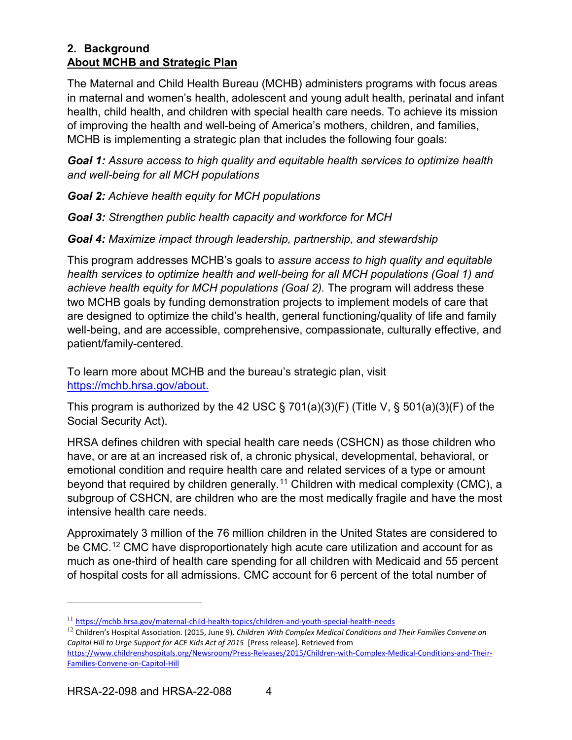#### <span id="page-9-0"></span>**2. Background About MCHB and Strategic Plan**

The Maternal and Child Health Bureau (MCHB) administers programs with focus areas in maternal and women's health, adolescent and young adult health, perinatal and infant health, child health, and children with special health care needs. To achieve its mission of improving the health and well-being of America's mothers, children, and families, MCHB is implementing a strategic plan that includes the following four goals:

*Goal 1: Assure access to high quality and equitable health services to optimize health and well-being for all MCH populations*

*Goal 2: Achieve health equity for MCH populations*

*Goal 3: Strengthen public health capacity and workforce for MCH*

*Goal 4: Maximize impact through leadership, partnership, and stewardship*

This program addresses MCHB's goals to *assure access to high quality and equitable health services to optimize health and well-being for all MCH populations (Goal 1) and achieve health equity for MCH populations (Goal 2).* The program will address these two MCHB goals by funding demonstration projects to implement models of care that are designed to optimize the child's health, general functioning/quality of life and family well-being, and are accessible, comprehensive, compassionate, culturally effective, and patient/family-centered*.*

To learn more about MCHB and the bureau's strategic plan, visit [https://mchb.hrsa.gov/about.](https://mchb.hrsa.gov/about)

This program is authorized by the 42 USC  $\S$  701(a)(3)(F) (Title V,  $\S$  501(a)(3)(F) of the Social Security Act).

HRSA defines children with special health care needs (CSHCN) as those children who have, or are at an increased risk of, a chronic physical, developmental, behavioral, or emotional condition and require health care and related services of a type or amount beyond that required by children generally.<sup>[11](#page-9-1)</sup> Children with medical complexity (CMC), a subgroup of CSHCN, are children who are the most medically fragile and have the most intensive health care needs.

Approximately 3 million of the 76 million children in the United States are considered to be CMC.<sup>[12](#page-9-2)</sup> CMC have disproportionately high acute care utilization and account for as much as one-third of health care spending for all children with Medicaid and 55 percent of hospital costs for all admissions. CMC account for 6 percent of the total number of

<span id="page-9-1"></span><sup>11</sup> <https://mchb.hrsa.gov/maternal-child-health-topics/children-and-youth-special-health-needs>

<span id="page-9-2"></span><sup>12</sup> Children's Hospital Association. (2015, June 9). *Children With Complex Medical Conditions and Their Families Convene on Capital Hill to Urge Support for ACE Kids Act of 2015* [Press release]. Retrieved from

[https://www.childrenshospitals.org/Newsroom/Press-Releases/2015/Children-with-Complex-Medical-Conditions-and-Their-](https://www.childrenshospitals.org/Newsroom/Press-Releases/2015/Children-with-Complex-Medical-Conditions-and-Their-Families-Convene-on-Capitol-Hill)[Families-Convene-on-Capitol-Hill](https://www.childrenshospitals.org/Newsroom/Press-Releases/2015/Children-with-Complex-Medical-Conditions-and-Their-Families-Convene-on-Capitol-Hill)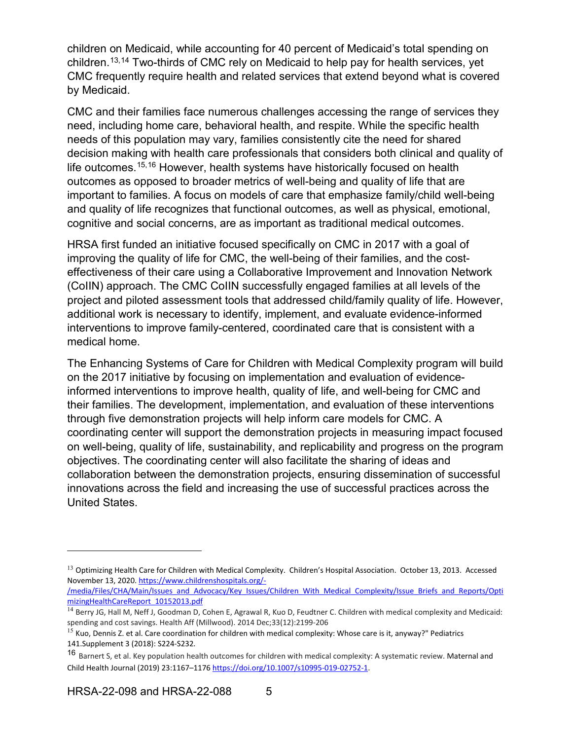children on Medicaid, while accounting for 40 percent of Medicaid's total spending on children.[13,](#page-10-0)[14](#page-10-1) Two-thirds of CMC rely on Medicaid to help pay for health services, yet CMC frequently require health and related services that extend beyond what is covered by Medicaid.

CMC and their families face numerous challenges accessing the range of services they need, including home care, behavioral health, and respite. While the specific health needs of this population may vary, families consistently cite the need for shared decision making with health care professionals that considers both clinical and quality of life outcomes.[15](#page-10-2),[16](#page-10-3) However, health systems have historically focused on health outcomes as opposed to broader metrics of well-being and quality of life that are important to families. A focus on models of care that emphasize family/child well-being and quality of life recognizes that functional outcomes, as well as physical, emotional, cognitive and social concerns, are as important as traditional medical outcomes.

HRSA first funded an initiative focused specifically on CMC in 2017 with a goal of improving the quality of life for CMC, the well-being of their families, and the costeffectiveness of their care using a Collaborative Improvement and Innovation Network (CoIIN) approach. The CMC CoIIN successfully engaged families at all levels of the project and piloted assessment tools that addressed child/family quality of life. However, additional work is necessary to identify, implement, and evaluate evidence-informed interventions to improve family-centered, coordinated care that is consistent with a medical home.

The Enhancing Systems of Care for Children with Medical Complexity program will build on the 2017 initiative by focusing on implementation and evaluation of evidenceinformed interventions to improve health, quality of life, and well-being for CMC and their families. The development, implementation, and evaluation of these interventions through five demonstration projects will help inform care models for CMC. A coordinating center will support the demonstration projects in measuring impact focused on well-being, quality of life, sustainability, and replicability and progress on the program objectives. The coordinating center will also facilitate the sharing of ideas and collaboration between the demonstration projects, ensuring dissemination of successful innovations across the field and increasing the use of successful practices across the United States.

<span id="page-10-0"></span><sup>&</sup>lt;sup>13</sup> Optimizing Health Care for Children with Medical Complexity. Children's Hospital Association. October 13, 2013. Accessed November 13, 2020[. https://www.childrenshospitals.org/-](https://www.childrenshospitals.org/-/media/Files/CHA/Main/Issues_and_Advocacy/Key_Issues/Children_With_Medical_Complexity/Issue_Briefs_and_Reports/OptimizingHealthCareReport_10152013.pdf)

[<sup>/</sup>media/Files/CHA/Main/Issues\\_and\\_Advocacy/Key\\_Issues/Children\\_With\\_Medical\\_Complexity/Issue\\_Briefs\\_and\\_Reports/Opti](https://www.childrenshospitals.org/-/media/Files/CHA/Main/Issues_and_Advocacy/Key_Issues/Children_With_Medical_Complexity/Issue_Briefs_and_Reports/OptimizingHealthCareReport_10152013.pdf) [mizingHealthCareReport\\_10152013.pdf](https://www.childrenshospitals.org/-/media/Files/CHA/Main/Issues_and_Advocacy/Key_Issues/Children_With_Medical_Complexity/Issue_Briefs_and_Reports/OptimizingHealthCareReport_10152013.pdf)

<span id="page-10-1"></span><sup>&</sup>lt;sup>14</sup> Berry JG, Hall M, Neff J, Goodman D, Cohen E, Agrawal R, Kuo D, Feudtner C. Children with medical complexity and Medicaid: spending and cost savings. Health Aff (Millwood). 2014 Dec;33(12):2199-206

<span id="page-10-2"></span> $15$  Kuo, Dennis Z. et al. Care coordination for children with medical complexity: Whose care is it, anyway?" Pediatrics 141.Supplement 3 (2018): S224-S232*.*

<span id="page-10-3"></span><sup>16</sup> Barnert S, et al. Key population health outcomes for children with medical complexity: A systematic review. Maternal and Child Health Journal (2019) 23:1167–117[6 https://doi.org/10.1007/s10995-019-02752-1.](https://doi.org/10.1007/s10995-019-02752-1)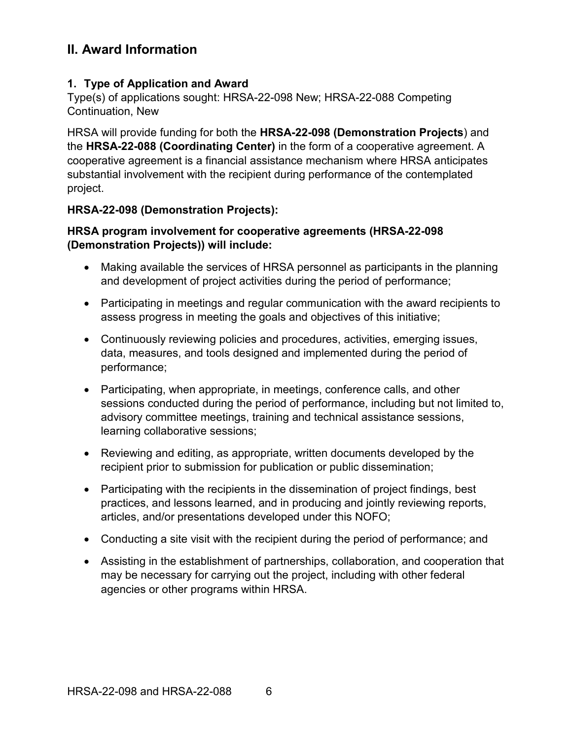## <span id="page-11-0"></span>**II. Award Information**

#### <span id="page-11-1"></span>**1. Type of Application and Award**

Type(s) of applications sought: HRSA-22-098 New; HRSA-22-088 Competing Continuation, New

HRSA will provide funding for both the **HRSA-22-098 (Demonstration Projects**) and the **HRSA-22-088 (Coordinating Center)** in the form of a cooperative agreement. A cooperative agreement is a financial assistance mechanism where HRSA anticipates substantial involvement with the recipient during performance of the contemplated project.

## **HRSA-22-098 (Demonstration Projects):**

#### **HRSA program involvement for cooperative agreements (HRSA-22-098 (Demonstration Projects)) will include:**

- Making available the services of HRSA personnel as participants in the planning and development of project activities during the period of performance;
- Participating in meetings and regular communication with the award recipients to assess progress in meeting the goals and objectives of this initiative;
- Continuously reviewing policies and procedures, activities, emerging issues, data, measures, and tools designed and implemented during the period of performance;
- Participating, when appropriate, in meetings, conference calls, and other sessions conducted during the period of performance, including but not limited to, advisory committee meetings, training and technical assistance sessions, learning collaborative sessions;
- Reviewing and editing, as appropriate, written documents developed by the recipient prior to submission for publication or public dissemination;
- Participating with the recipients in the dissemination of project findings, best practices, and lessons learned, and in producing and jointly reviewing reports, articles, and/or presentations developed under this NOFO;
- Conducting a site visit with the recipient during the period of performance; and
- Assisting in the establishment of partnerships, collaboration, and cooperation that may be necessary for carrying out the project, including with other federal agencies or other programs within HRSA.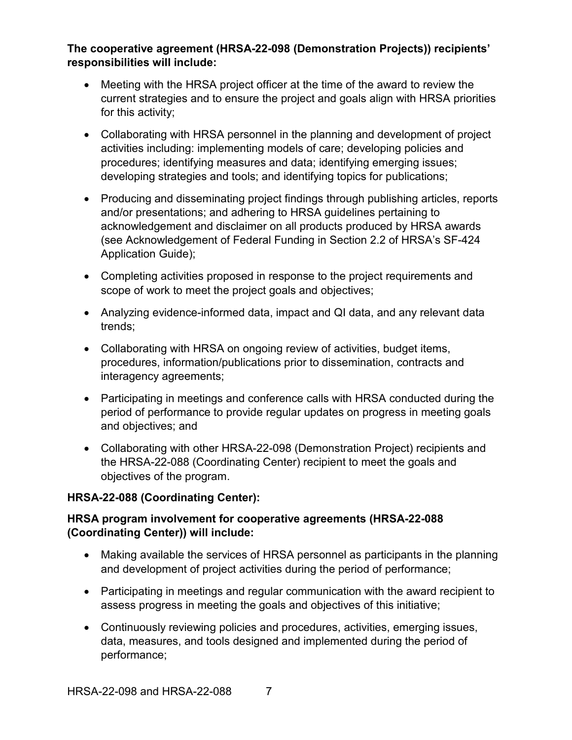## **The cooperative agreement (HRSA-22-098 (Demonstration Projects)) recipients' responsibilities will include:**

- Meeting with the HRSA project officer at the time of the award to review the current strategies and to ensure the project and goals align with HRSA priorities for this activity;
- Collaborating with HRSA personnel in the planning and development of project activities including: implementing models of care; developing policies and procedures; identifying measures and data; identifying emerging issues; developing strategies and tools; and identifying topics for publications;
- Producing and disseminating project findings through publishing articles, reports and/or presentations; and adhering to HRSA guidelines pertaining to acknowledgement and disclaimer on all products produced by HRSA awards (see Acknowledgement of Federal Funding in Section 2.2 of HRSA's SF-424 Application Guide);
- Completing activities proposed in response to the project requirements and scope of work to meet the project goals and objectives;
- Analyzing evidence-informed data, impact and QI data, and any relevant data trends;
- Collaborating with HRSA on ongoing review of activities, budget items, procedures, information/publications prior to dissemination, contracts and interagency agreements;
- Participating in meetings and conference calls with HRSA conducted during the period of performance to provide regular updates on progress in meeting goals and objectives; and
- Collaborating with other HRSA-22-098 (Demonstration Project) recipients and the HRSA-22-088 (Coordinating Center) recipient to meet the goals and objectives of the program.

#### **HRSA-22-088 (Coordinating Center):**

## **HRSA program involvement for cooperative agreements (HRSA-22-088 (Coordinating Center)) will include:**

- Making available the services of HRSA personnel as participants in the planning and development of project activities during the period of performance;
- Participating in meetings and regular communication with the award recipient to assess progress in meeting the goals and objectives of this initiative;
- Continuously reviewing policies and procedures, activities, emerging issues, data, measures, and tools designed and implemented during the period of performance;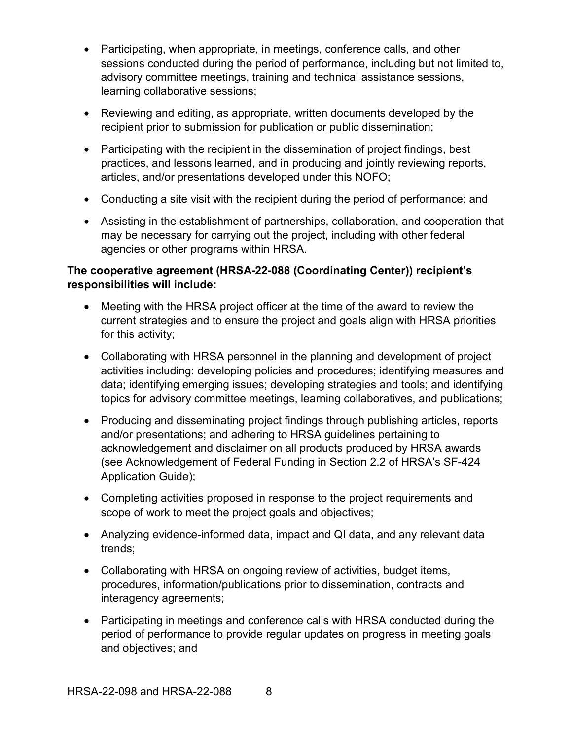- Participating, when appropriate, in meetings, conference calls, and other sessions conducted during the period of performance, including but not limited to, advisory committee meetings, training and technical assistance sessions, learning collaborative sessions;
- Reviewing and editing, as appropriate, written documents developed by the recipient prior to submission for publication or public dissemination;
- Participating with the recipient in the dissemination of project findings, best practices, and lessons learned, and in producing and jointly reviewing reports, articles, and/or presentations developed under this NOFO;
- Conducting a site visit with the recipient during the period of performance; and
- Assisting in the establishment of partnerships, collaboration, and cooperation that may be necessary for carrying out the project, including with other federal agencies or other programs within HRSA.

#### **The cooperative agreement (HRSA-22-088 (Coordinating Center)) recipient's responsibilities will include:**

- Meeting with the HRSA project officer at the time of the award to review the current strategies and to ensure the project and goals align with HRSA priorities for this activity;
- Collaborating with HRSA personnel in the planning and development of project activities including: developing policies and procedures; identifying measures and data; identifying emerging issues; developing strategies and tools; and identifying topics for advisory committee meetings, learning collaboratives, and publications;
- Producing and disseminating project findings through publishing articles, reports and/or presentations; and adhering to HRSA guidelines pertaining to acknowledgement and disclaimer on all products produced by HRSA awards (see Acknowledgement of Federal Funding in Section 2.2 of HRSA's SF-424 Application Guide);
- Completing activities proposed in response to the project requirements and scope of work to meet the project goals and objectives;
- Analyzing evidence-informed data, impact and QI data, and any relevant data trends;
- Collaborating with HRSA on ongoing review of activities, budget items, procedures, information/publications prior to dissemination, contracts and interagency agreements;
- Participating in meetings and conference calls with HRSA conducted during the period of performance to provide regular updates on progress in meeting goals and objectives; and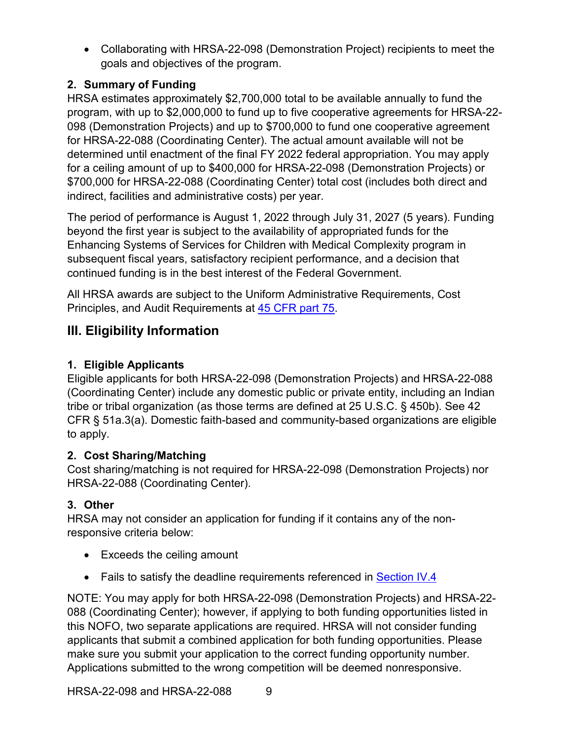• Collaborating with HRSA-22-098 (Demonstration Project) recipients to meet the goals and objectives of the program.

## <span id="page-14-1"></span>**2. Summary of Funding**

HRSA estimates approximately \$2,700,000 total to be available annually to fund the program, with up to \$2,000,000 to fund up to five cooperative agreements for HRSA-22- 098 (Demonstration Projects) and up to \$700,000 to fund one cooperative agreement for HRSA-22-088 (Coordinating Center). The actual amount available will not be determined until enactment of the final FY 2022 federal appropriation. You may apply for a ceiling amount of up to \$400,000 for HRSA-22-098 (Demonstration Projects) or \$700,000 for HRSA-22-088 (Coordinating Center) total cost (includes both direct and indirect, facilities and administrative costs) per year.

The period of performance is August 1, 2022 through July 31, 2027 (5 years). Funding beyond the first year is subject to the availability of appropriated funds for the Enhancing Systems of Services for Children with Medical Complexity program in subsequent fiscal years, satisfactory recipient performance, and a decision that continued funding is in the best interest of the Federal Government.

All HRSA awards are subject to the Uniform Administrative Requirements, Cost Principles, and Audit Requirements at [45 CFR part 75.](http://www.ecfr.gov/cgi-bin/retrieveECFR?gp=1&SID=4d52364ec83fab994c665943dadf9cf7&ty=HTML&h=L&r=PART&n=pt45.1.75)

# <span id="page-14-2"></span>**III. Eligibility Information**

## <span id="page-14-0"></span>**1. Eligible Applicants**

Eligible applicants for both HRSA-22-098 (Demonstration Projects) and HRSA-22-088 (Coordinating Center) include any domestic public or private entity, including an Indian tribe or tribal organization (as those terms are defined at 25 U.S.C. § 450b). See 42 CFR § 51a.3(a). Domestic faith-based and community-based organizations are eligible to apply.

## <span id="page-14-3"></span>**2. Cost Sharing/Matching**

Cost sharing/matching is not required for HRSA-22-098 (Demonstration Projects) nor HRSA-22-088 (Coordinating Center).

## <span id="page-14-4"></span>**3. Other**

HRSA may not consider an application for funding if it contains any of the nonresponsive criteria below:

- Exceeds the ceiling amount
- Fails to satisfy the deadline requirements referenced in [Section IV.4](#page-28-0)

NOTE: You may apply for both HRSA-22-098 (Demonstration Projects) and HRSA-22- 088 (Coordinating Center); however, if applying to both funding opportunities listed in this NOFO, two separate applications are required. HRSA will not consider funding applicants that submit a combined application for both funding opportunities. Please make sure you submit your application to the correct funding opportunity number. Applications submitted to the wrong competition will be deemed nonresponsive.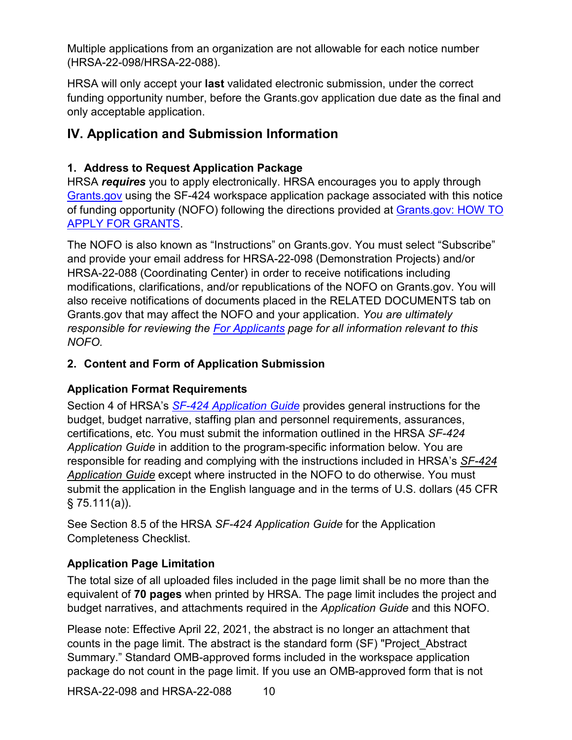Multiple applications from an organization are not allowable for each notice number (HRSA-22-098/HRSA-22-088).

HRSA will only accept your **last** validated electronic submission, under the correct funding opportunity number, before the Grants.gov application due date as the final and only acceptable application.

## <span id="page-15-0"></span>**IV. Application and Submission Information**

## <span id="page-15-1"></span>**1. Address to Request Application Package**

HRSA *requires* you to apply electronically. HRSA encourages you to apply through [Grants.gov](https://www.grants.gov/) using the SF-424 workspace application package associated with this notice of funding opportunity (NOFO) following the directions provided at **Grants.gov: HOW TO** [APPLY FOR GRANTS.](http://www.grants.gov/applicants/apply-for-grants.html)

The NOFO is also known as "Instructions" on Grants.gov. You must select "Subscribe" and provide your email address for HRSA-22-098 (Demonstration Projects) and/or HRSA-22-088 (Coordinating Center) in order to receive notifications including modifications, clarifications, and/or republications of the NOFO on Grants.gov. You will also receive notifications of documents placed in the RELATED DOCUMENTS tab on Grants.gov that may affect the NOFO and your application. *You are ultimately responsible for reviewing the [For Applicants](https://www.grants.gov/web/grants/applicants.html) page for all information relevant to this NOFO.*

## <span id="page-15-2"></span>**2. Content and Form of Application Submission**

## **Application Format Requirements**

Section 4 of HRSA's *SF-424 [Application Guide](http://www.hrsa.gov/grants/apply/applicationguide/sf424guide.pdf)* provides general instructions for the budget, budget narrative, staffing plan and personnel requirements, assurances, certifications, etc. You must submit the information outlined in the HRSA *SF-424 Application Guide* in addition to the program-specific information below. You are responsible for reading and complying with the instructions included in HRSA's *[SF-424](http://www.hrsa.gov/grants/apply/applicationguide/sf424guide.pdf) [Application Guide](http://www.hrsa.gov/grants/apply/applicationguide/sf424guide.pdf)* except where instructed in the NOFO to do otherwise. You must submit the application in the English language and in the terms of U.S. dollars (45 CFR  $§ 75.111(a)$ ).

See Section 8.5 of the HRSA *SF-424 Application Guide* for the Application Completeness Checklist.

## **Application Page Limitation**

The total size of all uploaded files included in the page limit shall be no more than the equivalent of **70 pages** when printed by HRSA. The page limit includes the project and budget narratives, and attachments required in the *Application Guide* and this NOFO.

Please note: Effective April 22, 2021, the abstract is no longer an attachment that counts in the page limit. The abstract is the standard form (SF) "Project\_Abstract Summary." Standard OMB-approved forms included in the workspace application package do not count in the page limit. If you use an OMB-approved form that is not

HRSA-22-098 and HRSA-22-088 10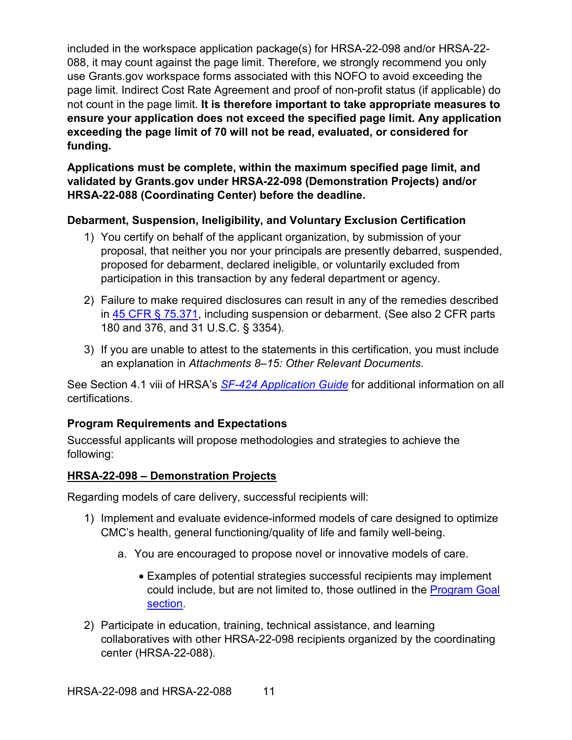included in the workspace application package(s) for HRSA-22-098 and/or HRSA-22- 088, it may count against the page limit. Therefore, we strongly recommend you only use Grants.gov workspace forms associated with this NOFO to avoid exceeding the page limit. Indirect Cost Rate Agreement and proof of non-profit status (if applicable) do not count in the page limit. **It is therefore important to take appropriate measures to ensure your application does not exceed the specified page limit. Any application exceeding the page limit of 70 will not be read, evaluated, or considered for funding.** 

**Applications must be complete, within the maximum specified page limit, and validated by Grants.gov under HRSA-22-098 (Demonstration Projects) and/or HRSA-22-088 (Coordinating Center) before the deadline.**

## **Debarment, Suspension, Ineligibility, and Voluntary Exclusion Certification**

- 1) You certify on behalf of the applicant organization, by submission of your proposal, that neither you nor your principals are presently debarred, suspended, proposed for debarment, declared ineligible, or voluntarily excluded from participation in this transaction by any federal department or agency.
- 2) Failure to make required disclosures can result in any of the remedies described in [45 CFR § 75.371,](https://www.ecfr.gov/cgi-bin/retrieveECFR?gp=1&SID=4d52364ec83fab994c665943dadf9cf7&ty=HTML&h=L&r=PART&n=pt45.1.75#se45.1.75_1371) including suspension or debarment. (See also 2 CFR parts 180 and 376, and 31 U.S.C. § 3354).
- 3) If you are unable to attest to the statements in this certification, you must include an explanation in *Attachments 8–15: Other Relevant Documents*.

See Section 4.1 viii of HRSA's *SF-424 [Application Guide](http://www.hrsa.gov/grants/apply/applicationguide/sf424guide.pdf)* for additional information on all certifications.

## <span id="page-16-0"></span>**Program Requirements and Expectations**

Successful applicants will propose methodologies and strategies to achieve the following:

#### **HRSA-22-098 – Demonstration Projects**

Regarding models of care delivery, successful recipients will:

- 1) Implement and evaluate evidence-informed models of care designed to optimize CMC's health, general functioning/quality of life and family well-being.
	- a. You are encouraged to propose novel or innovative models of care.
		- Examples of potential strategies successful recipients may implement could include, but are not limited to, those outlined in the [Program Goal](#page-6-8) section.
- 2) Participate in education, training, technical assistance, and learning collaboratives with other HRSA-22-098 recipients organized by the coordinating center (HRSA-22-088).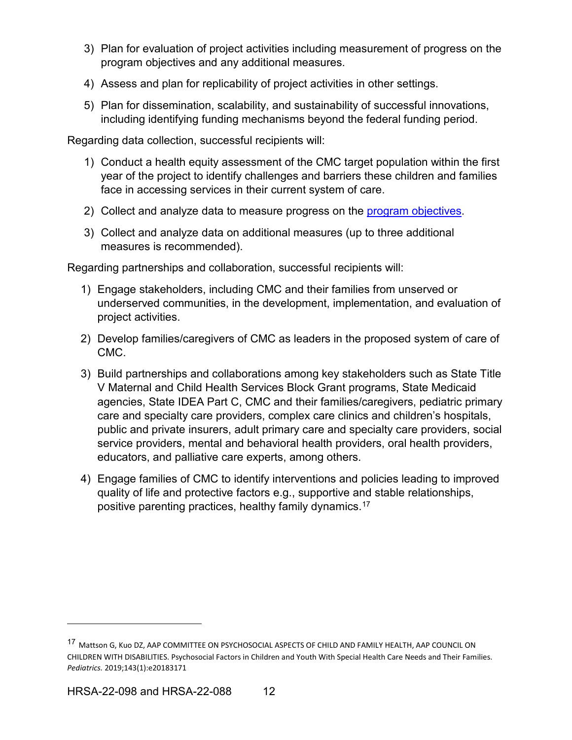- 3) Plan for evaluation of project activities including measurement of progress on the program objectives and any additional measures.
- 4) Assess and plan for replicability of project activities in other settings.
- 5) Plan for dissemination, scalability, and sustainability of successful innovations, including identifying funding mechanisms beyond the federal funding period.

Regarding data collection, successful recipients will:

- 1) Conduct a health equity assessment of the CMC target population within the first year of the project to identify challenges and barriers these children and families face in accessing services in their current system of care.
- 2) Collect and analyze data to measure progress on the [program objectives.](#page-8-2)
- 3) Collect and analyze data on additional measures (up to three additional measures is recommended).

Regarding partnerships and collaboration, successful recipients will:

- 1) Engage stakeholders, including CMC and their families from unserved or underserved communities, in the development, implementation, and evaluation of project activities.
- 2) Develop families/caregivers of CMC as leaders in the proposed system of care of CMC.
- 3) Build partnerships and collaborations among key stakeholders such as State Title V Maternal and Child Health Services Block Grant programs, State Medicaid agencies, State IDEA Part C, CMC and their families/caregivers, pediatric primary care and specialty care providers, complex care clinics and children's hospitals, public and private insurers, adult primary care and specialty care providers, social service providers, mental and behavioral health providers, oral health providers, educators, and palliative care experts, among others.
- 4) Engage families of CMC to identify interventions and policies leading to improved quality of life and protective factors e.g., supportive and stable relationships, positive parenting practices, healthy family dynamics.[17](#page-17-0)

<span id="page-17-0"></span><sup>&</sup>lt;sup>17</sup> Mattson G, Kuo DZ, AAP COMMITTEE ON PSYCHOSOCIAL ASPECTS OF CHILD AND FAMILY HEALTH, AAP COUNCIL ON CHILDREN WITH DISABILITIES. Psychosocial Factors in Children and Youth With Special Health Care Needs and Their Families. *Pediatrics.* 2019;143(1):e20183171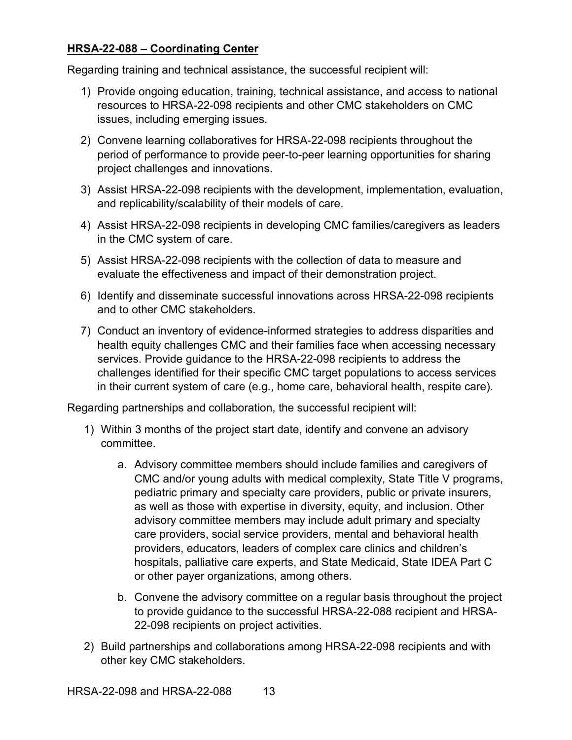#### **HRSA-22-088 – Coordinating Center**

Regarding training and technical assistance, the successful recipient will:

- 1) Provide ongoing education, training, technical assistance, and access to national resources to HRSA-22-098 recipients and other CMC stakeholders on CMC issues, including emerging issues.
- 2) Convene learning collaboratives for HRSA-22-098 recipients throughout the period of performance to provide peer-to-peer learning opportunities for sharing project challenges and innovations.
- 3) Assist HRSA-22-098 recipients with the development, implementation, evaluation, and replicability/scalability of their models of care.
- 4) Assist HRSA-22-098 recipients in developing CMC families/caregivers as leaders in the CMC system of care.
- 5) Assist HRSA-22-098 recipients with the collection of data to measure and evaluate the effectiveness and impact of their demonstration project.
- 6) Identify and disseminate successful innovations across HRSA-22-098 recipients and to other CMC stakeholders.
- 7) Conduct an inventory of evidence-informed strategies to address disparities and health equity challenges CMC and their families face when accessing necessary services. Provide guidance to the HRSA-22-098 recipients to address the challenges identified for their specific CMC target populations to access services in their current system of care (e.g., home care, behavioral health, respite care).

Regarding partnerships and collaboration, the successful recipient will:

- 1) Within 3 months of the project start date, identify and convene an advisory committee.
	- a. Advisory committee members should include families and caregivers of CMC and/or young adults with medical complexity, State Title V programs, pediatric primary and specialty care providers, public or private insurers, as well as those with expertise in diversity, equity, and inclusion. Other advisory committee members may include adult primary and specialty care providers, social service providers, mental and behavioral health providers, educators, leaders of complex care clinics and children's hospitals, palliative care experts, and State Medicaid, State IDEA Part C or other payer organizations, among others.
	- b. Convene the advisory committee on a regular basis throughout the project to provide guidance to the successful HRSA-22-088 recipient and HRSA-22-098 recipients on project activities.
- 2) Build partnerships and collaborations among HRSA-22-098 recipients and with other key CMC stakeholders.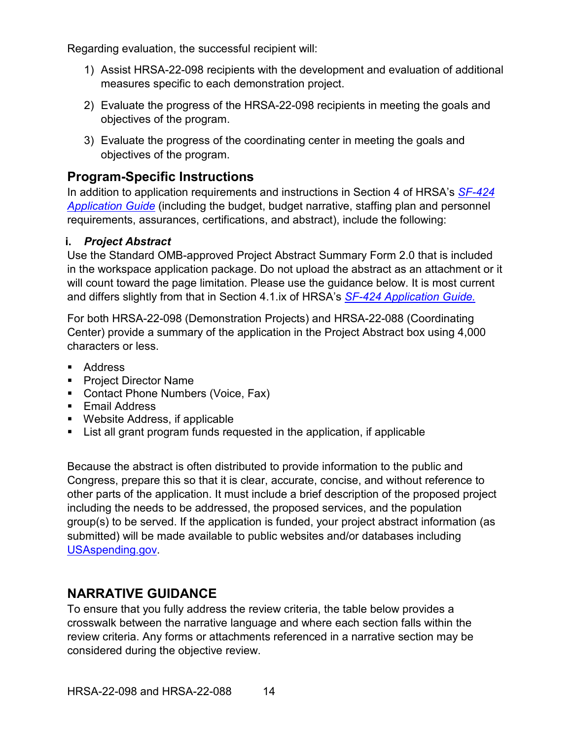Regarding evaluation, the successful recipient will:

- 1) Assist HRSA-22-098 recipients with the development and evaluation of additional measures specific to each demonstration project.
- 2) Evaluate the progress of the HRSA-22-098 recipients in meeting the goals and objectives of the program.
- 3) Evaluate the progress of the coordinating center in meeting the goals and objectives of the program.

# **Program-Specific Instructions**

In addition to application requirements and instructions in Section 4 of HRSA's *[SF-424](http://www.hrsa.gov/grants/apply/applicationguide/sf424guide.pdf) [Application Guide](http://www.hrsa.gov/grants/apply/applicationguide/sf424guide.pdf)* (including the budget, budget narrative, staffing plan and personnel requirements, assurances, certifications, and abstract), include the following:

## <span id="page-19-0"></span>**i.** *Project Abstract*

Use the Standard OMB-approved Project Abstract Summary Form 2.0 that is included in the workspace application package. Do not upload the abstract as an attachment or it will count toward the page limitation. Please use the guidance below. It is most current and differs slightly from that in Section 4.1.ix of HRSA's *SF-424 [Application Guide.](http://www.hrsa.gov/grants/apply/applicationguide/sf424guide.pdf)*

For both HRSA-22-098 (Demonstration Projects) and HRSA-22-088 (Coordinating Center) provide a summary of the application in the Project Abstract box using 4,000 characters or less.

- **Address**
- **Project Director Name**
- **Contact Phone Numbers (Voice, Fax)**
- **Email Address**
- Website Address, if applicable
- List all grant program funds requested in the application, if applicable

Because the abstract is often distributed to provide information to the public and Congress, prepare this so that it is clear, accurate, concise, and without reference to other parts of the application. It must include a brief description of the proposed project including the needs to be addressed, the proposed services, and the population group(s) to be served. If the application is funded, your project abstract information (as submitted) will be made available to public websites and/or databases including [USAspending.gov.](http://www.usaspending.gov/)

# **NARRATIVE GUIDANCE**

To ensure that you fully address the review criteria, the table below provides a crosswalk between the narrative language and where each section falls within the review criteria. Any forms or attachments referenced in a narrative section may be considered during the objective review.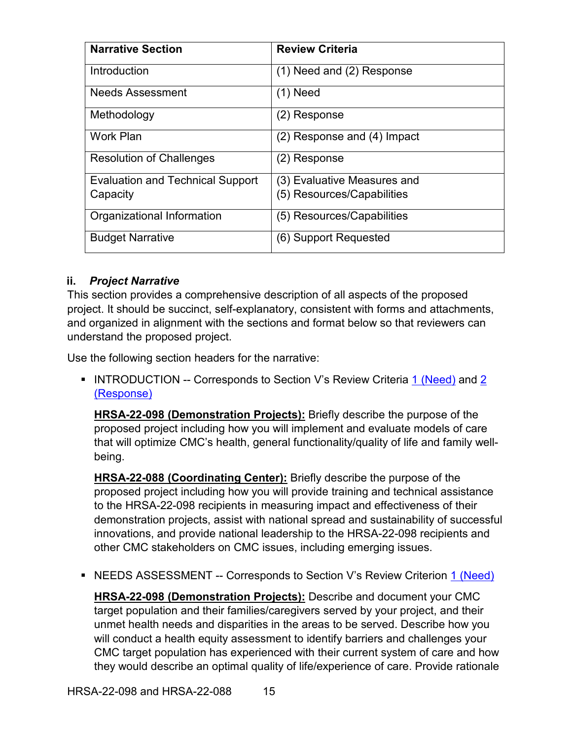| <b>Narrative Section</b>                | <b>Review Criteria</b>          |  |
|-----------------------------------------|---------------------------------|--|
| Introduction                            | (1) Need and (2) Response       |  |
| <b>Needs Assessment</b>                 | $(1)$ Need                      |  |
| Methodology                             | (2) Response                    |  |
| <b>Work Plan</b>                        | $(2)$ Response and $(4)$ Impact |  |
| <b>Resolution of Challenges</b>         | (2) Response                    |  |
| <b>Evaluation and Technical Support</b> | (3) Evaluative Measures and     |  |
| Capacity                                | (5) Resources/Capabilities      |  |
| Organizational Information              | (5) Resources/Capabilities      |  |
| <b>Budget Narrative</b>                 | (6) Support Requested           |  |

#### <span id="page-20-0"></span>**ii.** *Project Narrative*

This section provides a comprehensive description of all aspects of the proposed project. It should be succinct, self-explanatory, consistent with forms and attachments, and organized in alignment with the sections and format below so that reviewers can understand the proposed project.

Use the following section headers for the narrative:

<span id="page-20-1"></span>INTRODUCTION -- Corresponds to Section V's Review Criteria [1 \(Need\)](#page-30-2) and [2](#page-30-3) [\(Response\)](#page-30-3)

**HRSA-22-098 (Demonstration Projects):** Briefly describe the purpose of the proposed project including how you will implement and evaluate models of care that will optimize CMC's health, general functionality/quality of life and family wellbeing.

**HRSA-22-088 (Coordinating Center):** Briefly describe the purpose of the proposed project including how you will provide training and technical assistance to the HRSA-22-098 recipients in measuring impact and effectiveness of their demonstration projects, assist with national spread and sustainability of successful innovations, and provide national leadership to the HRSA-22-098 recipients and other CMC stakeholders on CMC issues, including emerging issues.

<span id="page-20-2"></span>• NEEDS ASSESSMENT -- Corresponds to Section V's Review Criterion [1 \(Need\)](#page-30-2)

**HRSA-22-098 (Demonstration Projects):** Describe and document your CMC target population and their families/caregivers served by your project, and their unmet health needs and disparities in the areas to be served. Describe how you will conduct a health equity assessment to identify barriers and challenges your CMC target population has experienced with their current system of care and how they would describe an optimal quality of life/experience of care. Provide rationale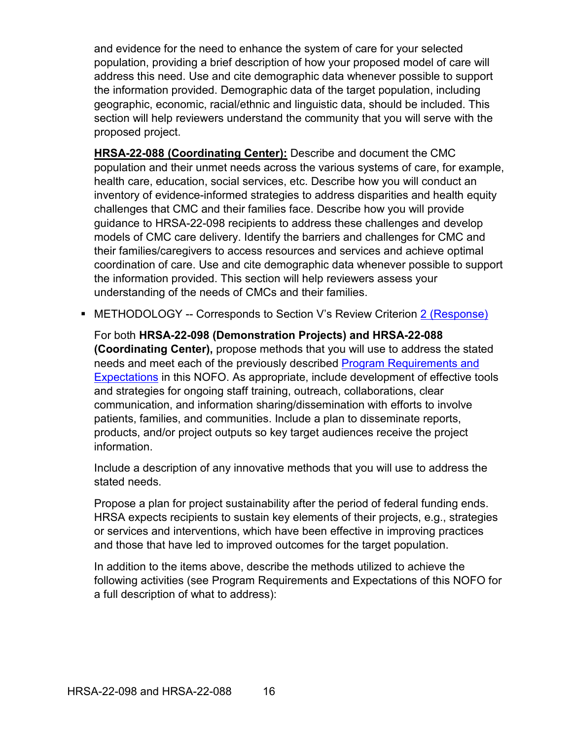and evidence for the need to enhance the system of care for your selected population, providing a brief description of how your proposed model of care will address this need. Use and cite demographic data whenever possible to support the information provided. Demographic data of the target population, including geographic, economic, racial/ethnic and linguistic data, should be included. This section will help reviewers understand the community that you will serve with the proposed project.

**HRSA-22-088 (Coordinating Center):** Describe and document the CMC population and their unmet needs across the various systems of care, for example, health care, education, social services, etc. Describe how you will conduct an inventory of evidence-informed strategies to address disparities and health equity challenges that CMC and their families face. Describe how you will provide guidance to HRSA-22-098 recipients to address these challenges and develop models of CMC care delivery. Identify the barriers and challenges for CMC and their families/caregivers to access resources and services and achieve optimal coordination of care. Use and cite demographic data whenever possible to support the information provided. This section will help reviewers assess your understanding of the needs of CMCs and their families.

<span id="page-21-0"></span>■ METHODOLOGY -- Corresponds to Section V's Review Criterion [2 \(Response\)](#page-30-3)

For both **HRSA-22-098 (Demonstration Projects) and HRSA-22-088 (Coordinating Center),** propose methods that you will use to address the stated needs and meet each of the previously described [Program Requirements and](#page-16-0)  [Expectations](#page-16-0) in this NOFO. As appropriate, include development of effective tools and strategies for ongoing staff training, outreach, collaborations, clear communication, and information sharing/dissemination with efforts to involve patients, families, and communities. Include a plan to disseminate reports, products, and/or project outputs so key target audiences receive the project information.

Include a description of any innovative methods that you will use to address the stated needs.

Propose a plan for project sustainability after the period of federal funding ends. HRSA expects recipients to sustain key elements of their projects, e.g., strategies or services and interventions, which have been effective in improving practices and those that have led to improved outcomes for the target population.

In addition to the items above, describe the methods utilized to achieve the following activities (see Program Requirements and Expectations of this NOFO for a full description of what to address):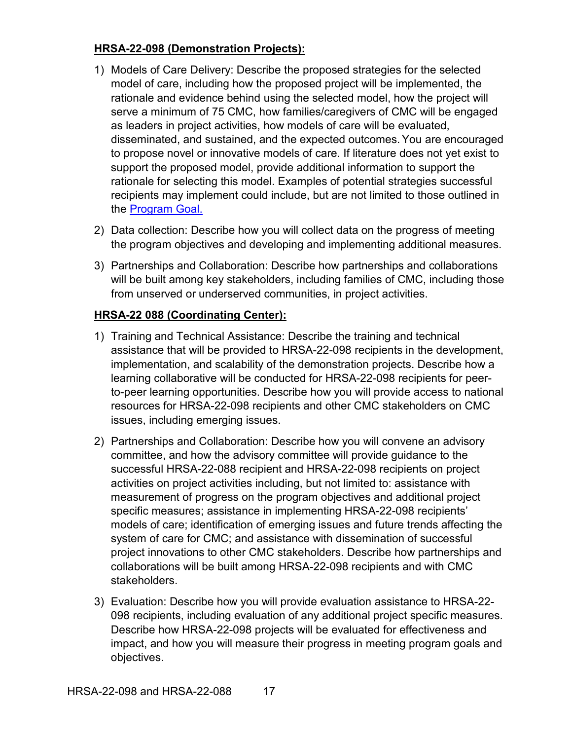### **HRSA-22-098 (Demonstration Projects):**

- 1) Models of Care Delivery: Describe the proposed strategies for the selected model of care, including how the proposed project will be implemented, the rationale and evidence behind using the selected model, how the project will serve a minimum of 75 CMC, how families/caregivers of CMC will be engaged as leaders in project activities, how models of care will be evaluated, disseminated, and sustained, and the expected outcomes.You are encouraged to propose novel or innovative models of care. If literature does not yet exist to support the proposed model, provide additional information to support the rationale for selecting this model. Examples of potential strategies successful recipients may implement could include, but are not limited to those outlined in the [Program Goal.](#page-6-8)
- 2) Data collection: Describe how you will collect data on the progress of meeting the program objectives and developing and implementing additional measures.
- 3) Partnerships and Collaboration: Describe how partnerships and collaborations will be built among key stakeholders, including families of CMC, including those from unserved or underserved communities, in project activities.

## **HRSA-22 088 (Coordinating Center):**

- 1) Training and Technical Assistance: Describe the training and technical assistance that will be provided to HRSA-22-098 recipients in the development, implementation, and scalability of the demonstration projects. Describe how a learning collaborative will be conducted for HRSA-22-098 recipients for peerto-peer learning opportunities. Describe how you will provide access to national resources for HRSA-22-098 recipients and other CMC stakeholders on CMC issues, including emerging issues.
- 2) Partnerships and Collaboration: Describe how you will convene an advisory committee, and how the advisory committee will provide guidance to the successful HRSA-22-088 recipient and HRSA-22-098 recipients on project activities on project activities including, but not limited to: assistance with measurement of progress on the program objectives and additional project specific measures; assistance in implementing HRSA-22-098 recipients' models of care; identification of emerging issues and future trends affecting the system of care for CMC; and assistance with dissemination of successful project innovations to other CMC stakeholders. Describe how partnerships and collaborations will be built among HRSA-22-098 recipients and with CMC stakeholders.
- 3) Evaluation: Describe how you will provide evaluation assistance to HRSA-22- 098 recipients, including evaluation of any additional project specific measures. Describe how HRSA-22-098 projects will be evaluated for effectiveness and impact, and how you will measure their progress in meeting program goals and objectives.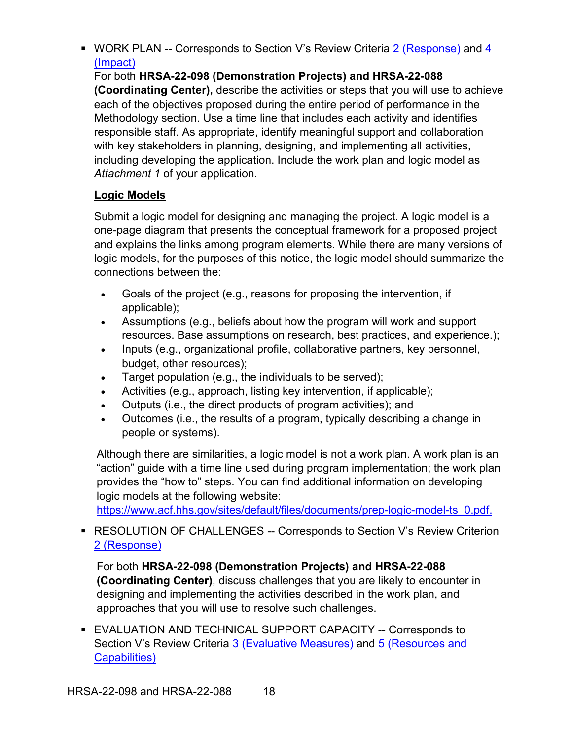<span id="page-23-0"></span>■ WORK PLAN -- Corresponds to Section V's Review Criteria [2 \(Response\)](#page-30-3) and 4 [\(Impact\)](#page-33-0)

For both **HRSA-22-098 (Demonstration Projects) and HRSA-22-088 (Coordinating Center),** describe the activities or steps that you will use to achieve each of the objectives proposed during the entire period of performance in the Methodology section. Use a time line that includes each activity and identifies responsible staff. As appropriate, identify meaningful support and collaboration with key stakeholders in planning, designing, and implementing all activities, including developing the application. Include the work plan and logic model as *Attachment 1* of your application.

## **Logic Models**

Submit a logic model for designing and managing the project. A logic model is a one-page diagram that presents the conceptual framework for a proposed project and explains the links among program elements. While there are many versions of logic models, for the purposes of this notice, the logic model should summarize the connections between the:

- Goals of the project (e.g., reasons for proposing the intervention, if applicable);
- Assumptions (e.g., beliefs about how the program will work and support resources. Base assumptions on research, best practices, and experience.);
- Inputs (e.g., organizational profile, collaborative partners, key personnel, budget, other resources);
- Target population (e.g., the individuals to be served);
- Activities (e.g., approach, listing key intervention, if applicable);
- Outputs (i.e., the direct products of program activities); and
- Outcomes (i.e., the results of a program, typically describing a change in people or systems).

Although there are similarities, a logic model is not a work plan. A work plan is an "action" guide with a time line used during program implementation; the work plan provides the "how to" steps. You can find additional information on developing logic models at the following website:

[https://www.acf.hhs.gov/sites/default/files/documents/prep-logic-model-ts\\_0.pdf.](https://www.acf.hhs.gov/sites/default/files/documents/prep-logic-model-ts_0.pdf)

## ■ RESOLUTION OF CHALLENGES -- Corresponds to Section V's Review Criterion [2 \(Response\)](#page-30-3)

For both **HRSA-22-098 (Demonstration Projects) and HRSA-22-088 (Coordinating Center)**, discuss challenges that you are likely to encounter in designing and implementing the activities described in the work plan, and approaches that you will use to resolve such challenges.

<span id="page-23-1"></span>**EVALUATION AND TECHNICAL SUPPORT CAPACITY -- Corresponds to** Section V's Review Criteria [3 \(Evaluative Measures\)](#page-32-0) and [5 \(Resources and](#page-34-2)  [Capabilities\)](#page-34-2)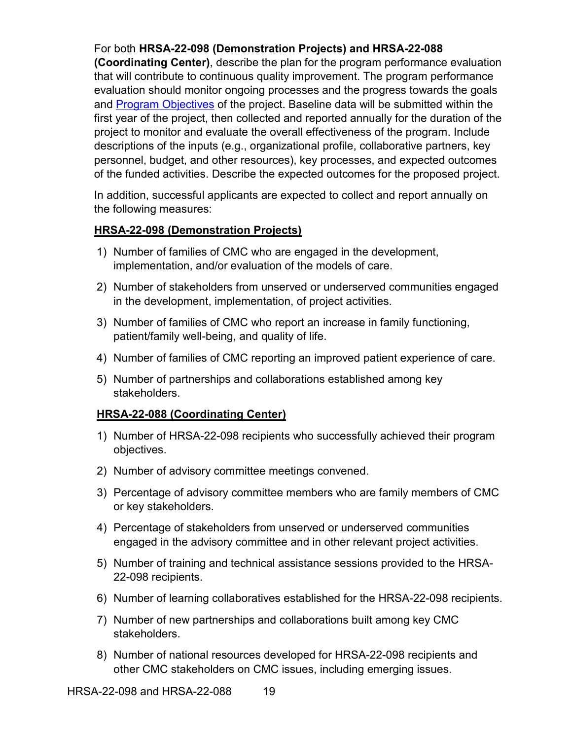## For both **HRSA-22-098 (Demonstration Projects) and HRSA-22-088**

**(Coordinating Center)**, describe the plan for the program performance evaluation that will contribute to continuous quality improvement. The program performance evaluation should monitor ongoing processes and the progress towards the goals and [Program Objectives](#page-8-2) of the project. Baseline data will be submitted within the first year of the project, then collected and reported annually for the duration of the project to monitor and evaluate the overall effectiveness of the program. Include descriptions of the inputs (e.g., organizational profile, collaborative partners, key personnel, budget, and other resources), key processes, and expected outcomes of the funded activities. Describe the expected outcomes for the proposed project.

In addition, successful applicants are expected to collect and report annually on the following measures:

#### **HRSA-22-098 (Demonstration Projects)**

- 1) Number of families of CMC who are engaged in the development, implementation, and/or evaluation of the models of care.
- 2) Number of stakeholders from unserved or underserved communities engaged in the development, implementation, of project activities.
- 3) Number of families of CMC who report an increase in family functioning, patient/family well-being, and quality of life.
- 4) Number of families of CMC reporting an improved patient experience of care.
- 5) Number of partnerships and collaborations established among key stakeholders.

#### **HRSA-22-088 (Coordinating Center)**

- 1) Number of HRSA-22-098 recipients who successfully achieved their program objectives.
- 2) Number of advisory committee meetings convened.
- 3) Percentage of advisory committee members who are family members of CMC or key stakeholders.
- 4) Percentage of stakeholders from unserved or underserved communities engaged in the advisory committee and in other relevant project activities.
- 5) Number of training and technical assistance sessions provided to the HRSA-22-098 recipients.
- 6) Number of learning collaboratives established for the HRSA-22-098 recipients.
- 7) Number of new partnerships and collaborations built among key CMC stakeholders.
- 8) Number of national resources developed for HRSA-22-098 recipients and other CMC stakeholders on CMC issues, including emerging issues.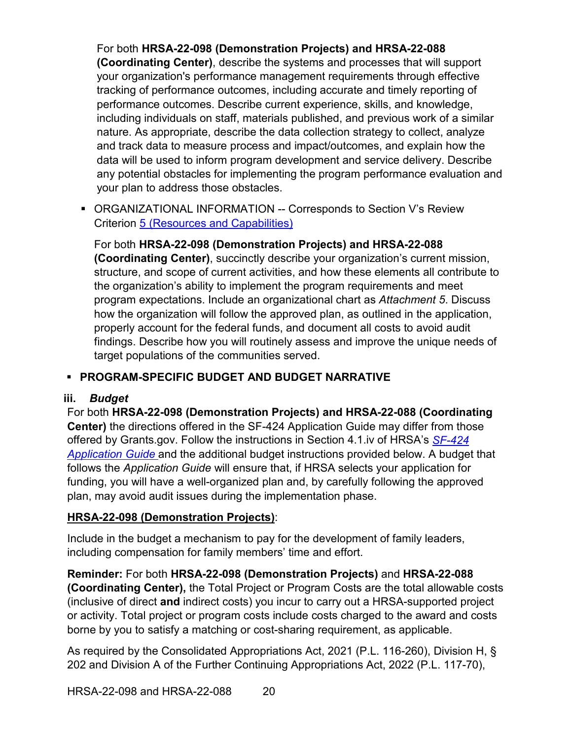For both **HRSA-22-098 (Demonstration Projects) and HRSA-22-088 (Coordinating Center)**, describe the systems and processes that will support your organization's performance management requirements through effective tracking of performance outcomes, including accurate and timely reporting of performance outcomes. Describe current experience, skills, and knowledge, including individuals on staff, materials published, and previous work of a similar nature. As appropriate, describe the data collection strategy to collect, analyze and track data to measure process and impact/outcomes, and explain how the data will be used to inform program development and service delivery. Describe any potential obstacles for implementing the program performance evaluation and your plan to address those obstacles.

<span id="page-25-1"></span> ORGANIZATIONAL INFORMATION -- Corresponds to Section V's Review Criterion [5 \(Resources and Capabilities\)](#page-34-2)

For both **HRSA-22-098 (Demonstration Projects) and HRSA-22-088 (Coordinating Center)**, succinctly describe your organization's current mission, structure, and scope of current activities, and how these elements all contribute to the organization's ability to implement the program requirements and meet program expectations. Include an organizational chart as *Attachment 5*. Discuss how the organization will follow the approved plan, as outlined in the application, properly account for the federal funds, and document all costs to avoid audit findings. Describe how you will routinely assess and improve the unique needs of target populations of the communities served.

## **PROGRAM-SPECIFIC BUDGET AND BUDGET NARRATIVE**

#### <span id="page-25-0"></span>**iii.** *Budget*

For both **HRSA-22-098 (Demonstration Projects) and HRSA-22-088 (Coordinating Center)** the directions offered in the SF-424 Application Guide may differ from those offered by Grants.gov. Follow the instructions in Section 4.1.iv of HRSA's *[SF-424](http://www.hrsa.gov/grants/apply/applicationguide/sf424guide.pdf) [Application Guide](http://www.hrsa.gov/grants/apply/applicationguide/sf424guide.pdf)* and the additional budget instructions provided below. A budget that follows the *Application Guide* will ensure that, if HRSA selects your application for funding, you will have a well-organized plan and, by carefully following the approved plan, may avoid audit issues during the implementation phase.

#### **HRSA-22-098 (Demonstration Projects)**:

Include in the budget a mechanism to pay for the development of family leaders, including compensation for family members' time and effort.

**Reminder:** For both **HRSA-22-098 (Demonstration Projects)** and **HRSA-22-088 (Coordinating Center),** the Total Project or Program Costs are the total allowable costs (inclusive of direct **and** indirect costs) you incur to carry out a HRSA-supported project or activity. Total project or program costs include costs charged to the award and costs borne by you to satisfy a matching or cost-sharing requirement, as applicable.

As required by the Consolidated Appropriations Act, 2021 (P.L. 116-260), Division H, § 202 and Division A of the Further Continuing Appropriations Act, 2022 (P.L. 117-70),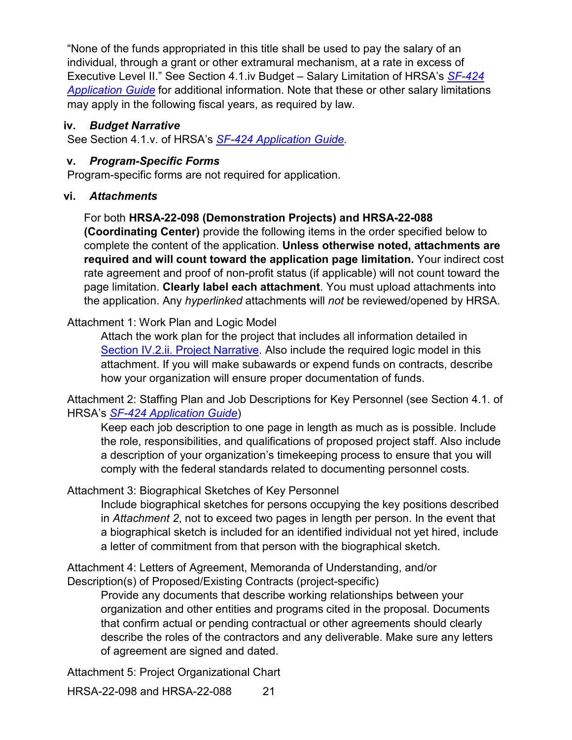"None of the funds appropriated in this title shall be used to pay the salary of an individual, through a grant or other extramural mechanism, at a rate in excess of Executive Level II." See Section 4.1.iv Budget – Salary Limitation of HRSA's *[SF-424](http://www.hrsa.gov/grants/apply/applicationguide/sf424guide.pdf)  [Application Guide](http://www.hrsa.gov/grants/apply/applicationguide/sf424guide.pdf)* for additional information. Note that these or other salary limitations may apply in the following fiscal years, as required by law.

#### <span id="page-26-0"></span>**iv.** *Budget Narrative*

See Section 4.1.v. of HRSA's *SF-424 [Application Guide.](http://www.hrsa.gov/grants/apply/applicationguide/sf424guide.pdf)*

#### <span id="page-26-1"></span>**v.** *Program-Specific Forms*

Program-specific forms are not required for application.

#### <span id="page-26-2"></span>**vi.** *Attachments*

## For both **HRSA-22-098 (Demonstration Projects) and HRSA-22-088**

**(Coordinating Center)** provide the following items in the order specified below to complete the content of the application. **Unless otherwise noted, attachments are required and will count toward the application page limitation.** Your indirect cost rate agreement and proof of non-profit status (if applicable) will not count toward the page limitation. **Clearly label each attachment**. You must upload attachments into the application. Any *hyperlinked* attachments will *not* be reviewed/opened by HRSA.

#### Attachment 1: Work Plan and Logic Model

Attach the work plan for the project that includes all information detailed in [Section IV.2.ii. Project Narrative.](#page-20-0) Also include the required logic model in this attachment. If you will make subawards or expend funds on contracts, describe how your organization will ensure proper documentation of funds.

Attachment 2: Staffing Plan and Job Descriptions for Key Personnel (see Section 4.1. of HRSA's *SF-424 [Application Guide](http://www.hrsa.gov/grants/apply/applicationguide/sf424guide.pdf)*)

Keep each job description to one page in length as much as is possible. Include the role, responsibilities, and qualifications of proposed project staff. Also include a description of your organization's timekeeping process to ensure that you will comply with the federal standards related to documenting personnel costs.

#### Attachment 3: Biographical Sketches of Key Personnel

Include biographical sketches for persons occupying the key positions described in *Attachment 2*, not to exceed two pages in length per person. In the event that a biographical sketch is included for an identified individual not yet hired, include a letter of commitment from that person with the biographical sketch.

Attachment 4: Letters of Agreement, Memoranda of Understanding, and/or Description(s) of Proposed/Existing Contracts (project-specific)

Provide any documents that describe working relationships between your organization and other entities and programs cited in the proposal. Documents that confirm actual or pending contractual or other agreements should clearly describe the roles of the contractors and any deliverable. Make sure any letters of agreement are signed and dated.

Attachment 5: Project Organizational Chart

HRSA-22-098 and HRSA-22-088 21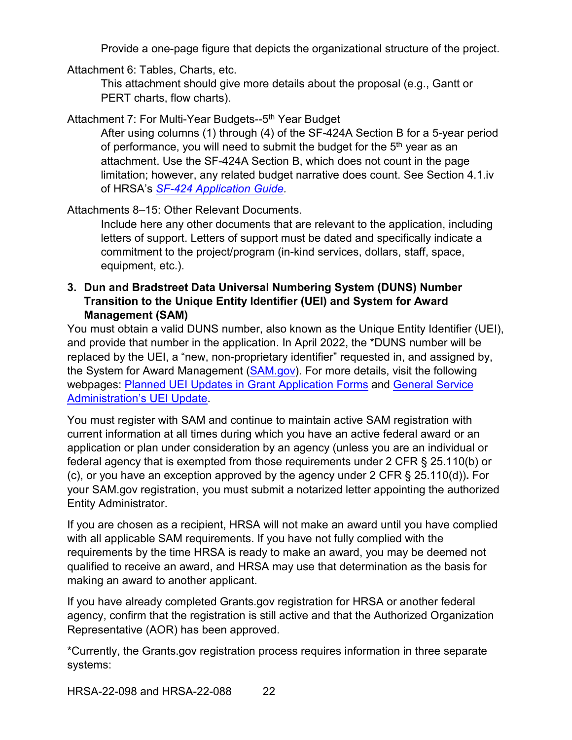Provide a one-page figure that depicts the organizational structure of the project.

Attachment 6: Tables, Charts, etc.

This attachment should give more details about the proposal (e.g., Gantt or PERT charts, flow charts).

Attachment 7: For Multi-Year Budgets--5<sup>th</sup> Year Budget

After using columns (1) through (4) of the SF-424A Section B for a 5-year period of performance, you will need to submit the budget for the  $5<sup>th</sup>$  year as an attachment. Use the SF-424A Section B, which does not count in the page limitation; however, any related budget narrative does count. See Section 4.1.iv of HRSA's *SF-424 [Application Guide.](http://www.hrsa.gov/grants/apply/applicationguide/sf424guide.pdf)*

Attachments 8–15: Other Relevant Documents.

Include here any other documents that are relevant to the application, including letters of support. Letters of support must be dated and specifically indicate a commitment to the project/program (in-kind services, dollars, staff, space, equipment, etc.).

### <span id="page-27-0"></span>**3. Dun and Bradstreet Data Universal Numbering System (DUNS) Number Transition to the Unique Entity Identifier (UEI) and System for Award Management (SAM)**

You must obtain a valid DUNS number, also known as the Unique Entity Identifier (UEI), and provide that number in the application. In April 2022, the \*DUNS number will be replaced by the UEI, a "new, non-proprietary identifier" requested in, and assigned by, the System for Award Management [\(SAM.gov\)](https://sam.gov/content/home). For more details, visit the following webpages: [Planned UEI Updates in Grant Application Forms](https://www.grants.gov/web/grants/forms/planned-uei-updates.html) and [General Service](https://www.gsa.gov/entityid)  [Administration's](https://www.gsa.gov/entityid) UEI Update.

You must register with SAM and continue to maintain active SAM registration with current information at all times during which you have an active federal award or an application or plan under consideration by an agency (unless you are an individual or federal agency that is exempted from those requirements under 2 CFR § 25.110(b) or (c), or you have an exception approved by the agency under 2 CFR § 25.110(d))**.** For your SAM.gov registration, you must submit a notarized letter appointing the authorized Entity Administrator.

If you are chosen as a recipient, HRSA will not make an award until you have complied with all applicable SAM requirements. If you have not fully complied with the requirements by the time HRSA is ready to make an award, you may be deemed not qualified to receive an award, and HRSA may use that determination as the basis for making an award to another applicant.

If you have already completed Grants.gov registration for HRSA or another federal agency, confirm that the registration is still active and that the Authorized Organization Representative (AOR) has been approved.

\*Currently, the Grants.gov registration process requires information in three separate systems: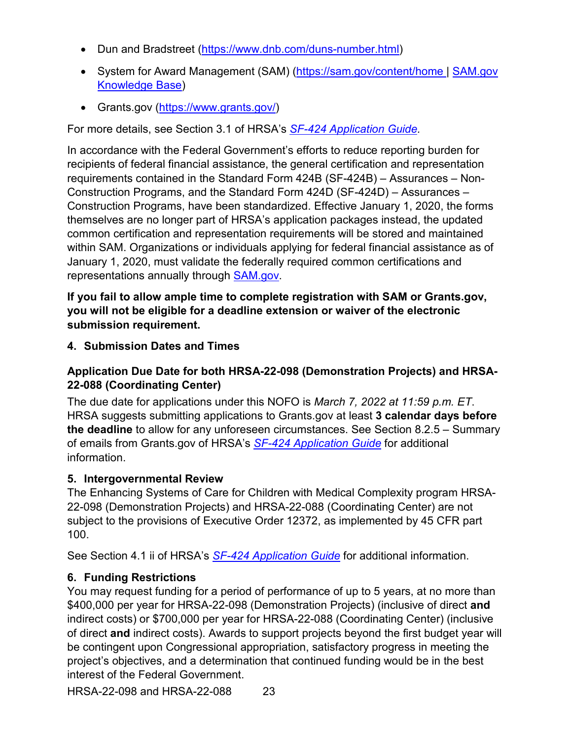- Dun and Bradstreet [\(https://www.dnb.com/duns-number.html\)](https://www.dnb.com/duns-number.html)
- System for Award Management (SAM) [\(https://sam.gov/content/home](https://sam.gov/content/home) | SAM.gov [Knowledge Base\)](https://www.fsd.gov/gsafsd_sp?id=gsa_kb_view2&kb_id=f66d8e6cdb76d4100d73f81d0f9619c6)
- Grants.gov [\(https://www.grants.gov/\)](https://www.grants.gov/)

For more details, see Section 3.1 of HRSA's *SF-424 [Application Guide.](http://www.hrsa.gov/grants/apply/applicationguide/sf424guide.pdf)*

In accordance with the Federal Government's efforts to reduce reporting burden for recipients of federal financial assistance, the general certification and representation requirements contained in the Standard Form 424B (SF-424B) – Assurances – Non-Construction Programs, and the Standard Form 424D (SF-424D) – Assurances – Construction Programs, have been standardized. Effective January 1, 2020, the forms themselves are no longer part of HRSA's application packages instead, the updated common certification and representation requirements will be stored and maintained within SAM. Organizations or individuals applying for federal financial assistance as of January 1, 2020, must validate the federally required common certifications and representations annually through [SAM.gov.](https://sam.gov/content/home)

**If you fail to allow ample time to complete registration with SAM or Grants.gov, you will not be eligible for a deadline extension or waiver of the electronic submission requirement.**

<span id="page-28-0"></span>**4. Submission Dates and Times**

## **Application Due Date for both HRSA-22-098 (Demonstration Projects) and HRSA-22-088 (Coordinating Center)**

The due date for applications under this NOFO is *March 7, 2022 at 11:59 p.m. ET*. HRSA suggests submitting applications to Grants.gov at least **3 calendar days before the deadline** to allow for any unforeseen circumstances. See Section 8.2.5 – Summary of emails from Grants.gov of HRSA's *[SF-424 Application Guide](http://www.hrsa.gov/grants/apply/applicationguide/sf424guide.pdf)* for additional information.

## <span id="page-28-1"></span>**5. Intergovernmental Review**

The Enhancing Systems of Care for Children with Medical Complexity program HRSA-22-098 (Demonstration Projects) and HRSA-22-088 (Coordinating Center) are not subject to the provisions of Executive Order 12372, as implemented by 45 CFR part 100.

See Section 4.1 ii of HRSA's *SF-424 [Application Guide](http://www.hrsa.gov/grants/apply/applicationguide/sf424guide.pdf)* for additional information.

## <span id="page-28-2"></span>**6. Funding Restrictions**

You may request funding for a period of performance of up to 5 years, at no more than \$400,000 per year for HRSA-22-098 (Demonstration Projects) (inclusive of direct **and** indirect costs) or \$700,000 per year for HRSA-22-088 (Coordinating Center) (inclusive of direct **and** indirect costs). Awards to support projects beyond the first budget year will be contingent upon Congressional appropriation, satisfactory progress in meeting the project's objectives, and a determination that continued funding would be in the best interest of the Federal Government.

HRSA-22-098 and HRSA-22-088 23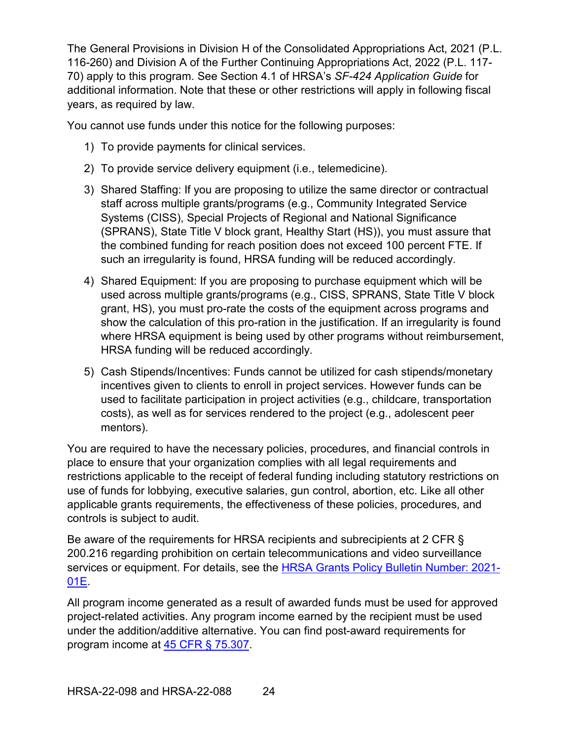The General Provisions in Division H of the Consolidated Appropriations Act, 2021 (P.L. 116-260) and Division A of the Further Continuing Appropriations Act, 2022 (P.L. 117- 70) apply to this program. See Section 4.1 of HRSA's *SF-424 Application Guide* for additional information. Note that these or other restrictions will apply in following fiscal years, as required by law.

You cannot use funds under this notice for the following purposes:

- 1) To provide payments for clinical services.
- 2) To provide service delivery equipment (i.e., telemedicine).
- 3) Shared Staffing: If you are proposing to utilize the same director or contractual staff across multiple grants/programs (e.g., Community Integrated Service Systems (CISS), Special Projects of Regional and National Significance (SPRANS), State Title V block grant, Healthy Start (HS)), you must assure that the combined funding for reach position does not exceed 100 percent FTE. If such an irregularity is found, HRSA funding will be reduced accordingly.
- 4) Shared Equipment: If you are proposing to purchase equipment which will be used across multiple grants/programs (e.g., CISS, SPRANS, State Title V block grant, HS), you must pro-rate the costs of the equipment across programs and show the calculation of this pro-ration in the justification. If an irregularity is found where HRSA equipment is being used by other programs without reimbursement, HRSA funding will be reduced accordingly.
- 5) Cash Stipends/Incentives: Funds cannot be utilized for cash stipends/monetary incentives given to clients to enroll in project services. However funds can be used to facilitate participation in project activities (e.g., childcare, transportation costs), as well as for services rendered to the project (e.g., adolescent peer mentors).

You are required to have the necessary policies, procedures, and financial controls in place to ensure that your organization complies with all legal requirements and restrictions applicable to the receipt of federal funding including statutory restrictions on use of funds for lobbying, executive salaries, gun control, abortion, etc. Like all other applicable grants requirements, the effectiveness of these policies, procedures, and controls is subject to audit.

Be aware of the requirements for HRSA recipients and subrecipients at 2 CFR § 200.216 regarding prohibition on certain telecommunications and video surveillance services or equipment. For details, see the [HRSA Grants Policy Bulletin Number: 2021-](https://www.hrsa.gov/sites/default/files/hrsa/grants/manage/grants-policy-bulletin-2021.pdf) [01E.](https://www.hrsa.gov/sites/default/files/hrsa/grants/manage/grants-policy-bulletin-2021.pdf)

All program income generated as a result of awarded funds must be used for approved project-related activities. Any program income earned by the recipient must be used under the addition/additive alternative. You can find post-award requirements for program income at [45 CFR § 75.307.](https://www.ecfr.gov/cgi-bin/retrieveECFR?gp=1&SID=4d52364ec83fab994c665943dadf9cf7&ty=HTML&h=L&r=PART&n=pt45.1.75)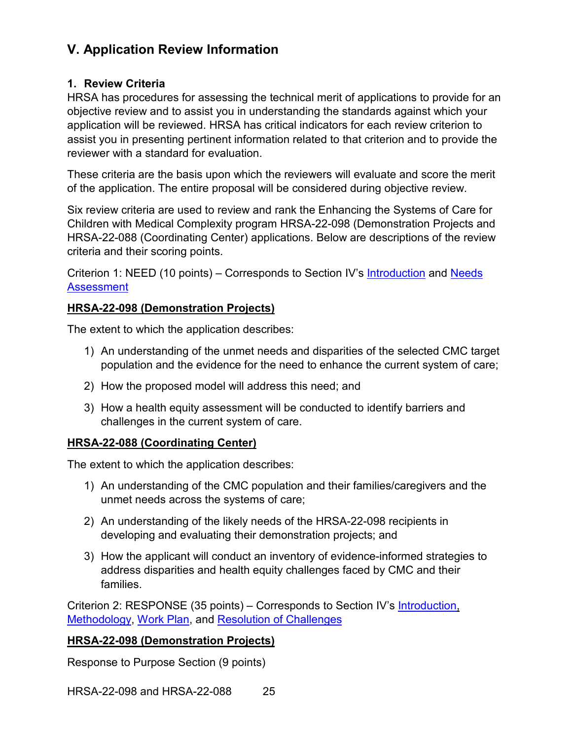# <span id="page-30-0"></span>**V. Application Review Information**

#### <span id="page-30-1"></span>**1. Review Criteria**

HRSA has procedures for assessing the technical merit of applications to provide for an objective review and to assist you in understanding the standards against which your application will be reviewed. HRSA has critical indicators for each review criterion to assist you in presenting pertinent information related to that criterion and to provide the reviewer with a standard for evaluation.

These criteria are the basis upon which the reviewers will evaluate and score the merit of the application. The entire proposal will be considered during objective review.

Six review criteria are used to review and rank the Enhancing the Systems of Care for Children with Medical Complexity program HRSA-22-098 (Demonstration Projects and HRSA-22-088 (Coordinating Center) applications. Below are descriptions of the review criteria and their scoring points.

<span id="page-30-2"></span>Criterion 1: NEED (10 points) – Corresponds to Section IV's [Introduction](#page-20-1) and [Needs](#page-20-2)  **[Assessment](#page-20-2)** 

#### **HRSA-22-098 (Demonstration Projects)**

The extent to which the application describes:

- 1) An understanding of the unmet needs and disparities of the selected CMC target population and the evidence for the need to enhance the current system of care;
- 2) How the proposed model will address this need; and
- 3) How a health equity assessment will be conducted to identify barriers and challenges in the current system of care.

#### **HRSA-22-088 (Coordinating Center)**

The extent to which the application describes:

- 1) An understanding of the CMC population and their families/caregivers and the unmet needs across the systems of care;
- 2) An understanding of the likely needs of the HRSA-22-098 recipients in developing and evaluating their demonstration projects; and
- 3) How the applicant will conduct an inventory of evidence-informed strategies to address disparities and health equity challenges faced by CMC and their families.

<span id="page-30-3"></span>Criterion 2: RESPONSE (35 points) – Corresponds to Section IV's **Introduction**, [Methodology,](#page-21-0) [Work Plan,](#page-23-0) and [Resolution of Challenges](#page-23-1)

#### **HRSA-22-098 (Demonstration Projects)**

Response to Purpose Section (9 points)

HRSA-22-098 and HRSA-22-088 25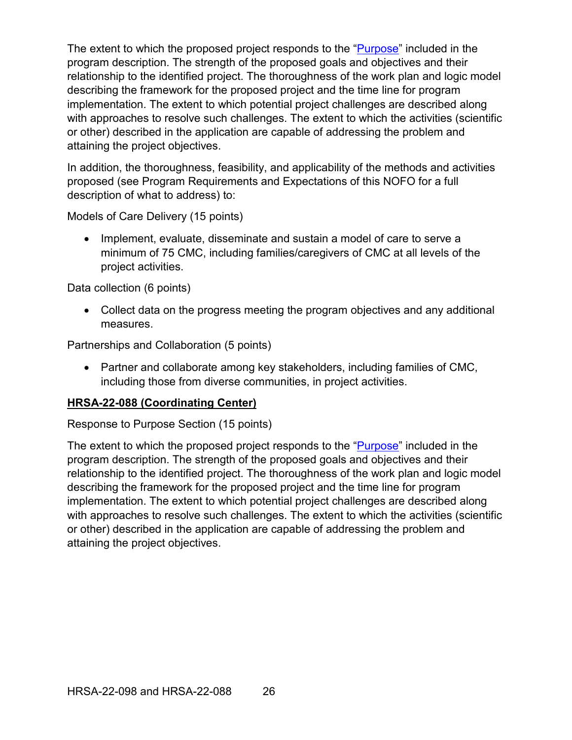The extent to which the proposed project responds to the ["Purpose"](#page-6-0) included in the program description. The strength of the proposed goals and objectives and their relationship to the identified project. The thoroughness of the work plan and logic model describing the framework for the proposed project and the time line for program implementation. The extent to which potential project challenges are described along with approaches to resolve such challenges. The extent to which the activities (scientific or other) described in the application are capable of addressing the problem and attaining the project objectives.

In addition, the thoroughness, feasibility, and applicability of the methods and activities proposed (see Program Requirements and Expectations of this NOFO for a full description of what to address) to:

Models of Care Delivery (15 points)

• Implement, evaluate, disseminate and sustain a model of care to serve a minimum of 75 CMC, including families/caregivers of CMC at all levels of the project activities.

Data collection (6 points)

• Collect data on the progress meeting the program objectives and any additional measures.

Partnerships and Collaboration (5 points)

• Partner and collaborate among key stakeholders, including families of CMC, including those from diverse communities, in project activities.

#### **HRSA-22-088 (Coordinating Center)**

Response to Purpose Section (15 points)

The extent to which the proposed project responds to the ["Purpose"](#page-6-0) included in the program description. The strength of the proposed goals and objectives and their relationship to the identified project. The thoroughness of the work plan and logic model describing the framework for the proposed project and the time line for program implementation. The extent to which potential project challenges are described along with approaches to resolve such challenges. The extent to which the activities (scientific or other) described in the application are capable of addressing the problem and attaining the project objectives.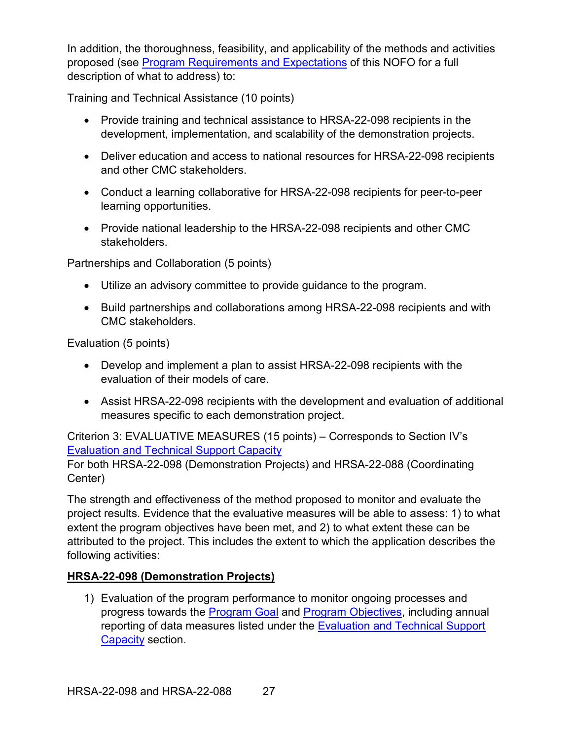In addition, the thoroughness, feasibility, and applicability of the methods and activities proposed (see [Program Requirements and Expectations](#page-16-0) of this NOFO for a full description of what to address) to:

Training and Technical Assistance (10 points)

- Provide training and technical assistance to HRSA-22-098 recipients in the development, implementation, and scalability of the demonstration projects.
- Deliver education and access to national resources for HRSA-22-098 recipients and other CMC stakeholders.
- Conduct a learning collaborative for HRSA-22-098 recipients for peer-to-peer learning opportunities.
- Provide national leadership to the HRSA-22-098 recipients and other CMC stakeholders.

Partnerships and Collaboration (5 points)

- Utilize an advisory committee to provide guidance to the program.
- Build partnerships and collaborations among HRSA-22-098 recipients and with CMC stakeholders.

Evaluation (5 points)

- Develop and implement a plan to assist HRSA-22-098 recipients with the evaluation of their models of care.
- Assist HRSA-22-098 recipients with the development and evaluation of additional measures specific to each demonstration project.

<span id="page-32-0"></span>Criterion 3: EVALUATIVE MEASURES (15 points) – Corresponds to Section IV's [Evaluation and Technical Support Capacity](#page-23-1) For both HRSA-22-098 (Demonstration Projects) and HRSA-22-088 (Coordinating Center)

The strength and effectiveness of the method proposed to monitor and evaluate the project results. Evidence that the evaluative measures will be able to assess: 1) to what extent the program objectives have been met, and 2) to what extent these can be attributed to the project. This includes the extent to which the application describes the following activities:

## **HRSA-22-098 (Demonstration Projects)**

1) Evaluation of the program performance to monitor ongoing processes and progress towards the [Program Goal](#page-6-8) and [Program Objectives,](#page-8-2) including annual reporting of data measures listed under the Evaluation and Technical Support [Capacity](#page-23-1) section.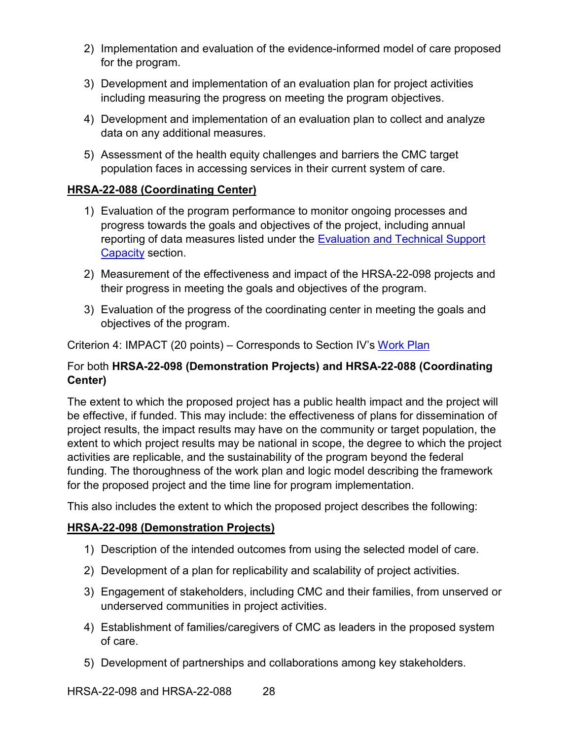- 2) Implementation and evaluation of the evidence-informed model of care proposed for the program.
- 3) Development and implementation of an evaluation plan for project activities including measuring the progress on meeting the program objectives.
- 4) Development and implementation of an evaluation plan to collect and analyze data on any additional measures.
- 5) Assessment of the health equity challenges and barriers the CMC target population faces in accessing services in their current system of care.

## **HRSA-22-088 (Coordinating Center)**

- 1) Evaluation of the program performance to monitor ongoing processes and progress towards the goals and objectives of the project, including annual reporting of data measures listed under the Evaluation and Technical Support [Capacity](#page-23-1) section.
- 2) Measurement of the effectiveness and impact of the HRSA-22-098 projects and their progress in meeting the goals and objectives of the program.
- 3) Evaluation of the progress of the coordinating center in meeting the goals and objectives of the program.

<span id="page-33-0"></span>Criterion 4: IMPACT (20 points) – Corresponds to Section IV's [Work Plan](#page-23-0)

### For both **HRSA-22-098 (Demonstration Projects) and HRSA-22-088 (Coordinating Center)**

The extent to which the proposed project has a public health impact and the project will be effective, if funded. This may include: the effectiveness of plans for dissemination of project results, the impact results may have on the community or target population, the extent to which project results may be national in scope, the degree to which the project activities are replicable, and the sustainability of the program beyond the federal funding. The thoroughness of the work plan and logic model describing the framework for the proposed project and the time line for program implementation.

This also includes the extent to which the proposed project describes the following:

#### **HRSA-22-098 (Demonstration Projects)**

- 1) Description of the intended outcomes from using the selected model of care.
- 2) Development of a plan for replicability and scalability of project activities.
- 3) Engagement of stakeholders, including CMC and their families, from unserved or underserved communities in project activities.
- 4) Establishment of families/caregivers of CMC as leaders in the proposed system of care.
- 5) Development of partnerships and collaborations among key stakeholders.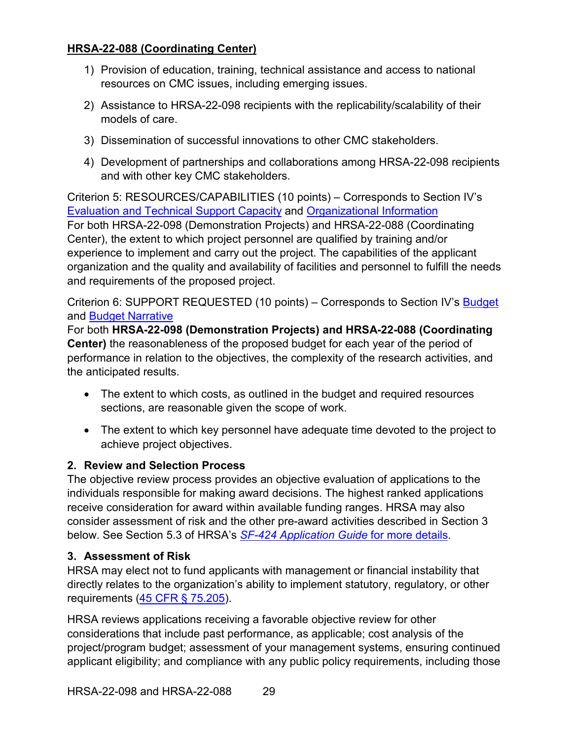## **HRSA-22-088 (Coordinating Center)**

- 1) Provision of education, training, technical assistance and access to national resources on CMC issues, including emerging issues.
- 2) Assistance to HRSA-22-098 recipients with the replicability/scalability of their models of care.
- 3) Dissemination of successful innovations to other CMC stakeholders.
- 4) Development of partnerships and collaborations among HRSA-22-098 recipients and with other key CMC stakeholders.

<span id="page-34-2"></span>Criterion 5: RESOURCES/CAPABILITIES (10 points) – Corresponds to Section IV's [Evaluation and Technical Support Capacity](#page-23-1) and [Organizational Information](#page-25-1) For both HRSA-22-098 (Demonstration Projects) and HRSA-22-088 (Coordinating Center), the extent to which project personnel are qualified by training and/or experience to implement and carry out the project. The capabilities of the applicant organization and the quality and availability of facilities and personnel to fulfill the needs and requirements of the proposed project.

Criterion 6: SUPPORT REQUESTED (10 points) – Corresponds to Section IV's [Budget](#page-25-0) and [Budget Narrative](#page-26-0)

For both **HRSA-22-098 (Demonstration Projects) and HRSA-22-088 (Coordinating Center)** the reasonableness of the proposed budget for each year of the period of performance in relation to the objectives, the complexity of the research activities, and the anticipated results.

- The extent to which costs, as outlined in the budget and required resources sections, are reasonable given the scope of work.
- The extent to which key personnel have adequate time devoted to the project to achieve project objectives.

#### <span id="page-34-0"></span>**2. Review and Selection Process**

The objective review process provides an objective evaluation of applications to the individuals responsible for making award decisions. The highest ranked applications receive consideration for award within available funding ranges. HRSA may also consider assessment of risk and the other pre-award activities described in Section 3 below. See Section 5.3 of HRSA's *SF-424 [Application Guide](http://www.hrsa.gov/grants/apply/applicationguide/sf424guide.pdf)* for more details.

## <span id="page-34-1"></span>**3. Assessment of Risk**

HRSA may elect not to fund applicants with management or financial instability that directly relates to the organization's ability to implement statutory, regulatory, or other requirements [\(45 CFR § 75.205\)](https://www.ecfr.gov/cgi-bin/retrieveECFR?gp=1&SID=4d52364ec83fab994c665943dadf9cf7&ty=HTML&h=L&r=PART&n=pt45.1.75).

HRSA reviews applications receiving a favorable objective review for other considerations that include past performance, as applicable; cost analysis of the project/program budget; assessment of your management systems, ensuring continued applicant eligibility; and compliance with any public policy requirements, including those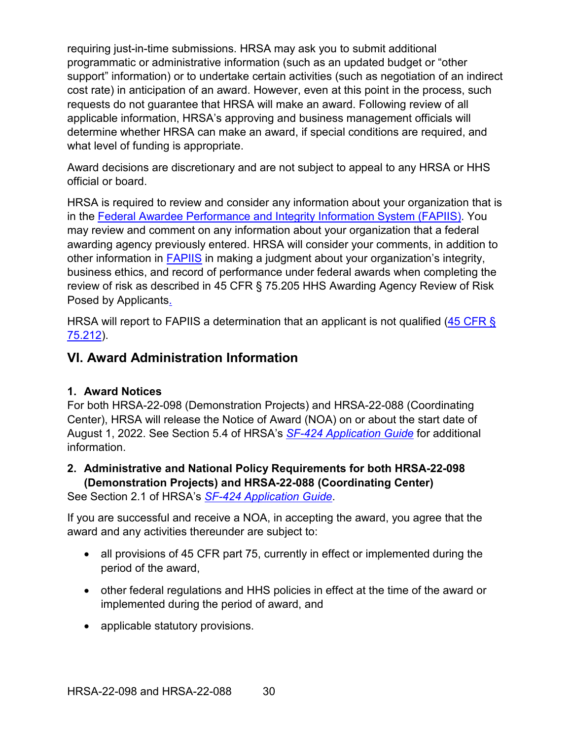requiring just-in-time submissions. HRSA may ask you to submit additional programmatic or administrative information (such as an updated budget or "other support" information) or to undertake certain activities (such as negotiation of an indirect cost rate) in anticipation of an award. However, even at this point in the process, such requests do not guarantee that HRSA will make an award. Following review of all applicable information, HRSA's approving and business management officials will determine whether HRSA can make an award, if special conditions are required, and what level of funding is appropriate.

Award decisions are discretionary and are not subject to appeal to any HRSA or HHS official or board.

HRSA is required to review and consider any information about your organization that is in the [Federal Awardee Performance and Integrity Information System \(FAPIIS\).](https://www.fapiis.gov/) You may review and comment on any information about your organization that a federal awarding agency previously entered. HRSA will consider your comments, in addition to other information in [FAPIIS](https://www.fapiis.gov/) in making a judgment about your organization's integrity, business ethics, and record of performance under federal awards when completing the review of risk as described in [45 CFR § 75.205 HHS Awarding Agency Review of Risk](https://www.ecfr.gov/cgi-bin/retrieveECFR?gp=1&SID=4d52364ec83fab994c665943dadf9cf7&ty=HTML&h=L&r=PART&n=pt45.1.75)  [Posed by Applicants.](https://www.ecfr.gov/cgi-bin/retrieveECFR?gp=1&SID=4d52364ec83fab994c665943dadf9cf7&ty=HTML&h=L&r=PART&n=pt45.1.75)

HRSA will report to FAPIIS a determination that an applicant is not qualified (45 CFR § [75.212\)](https://www.ecfr.gov/cgi-bin/retrieveECFR?gp=1&SID=4d52364ec83fab994c665943dadf9cf7&ty=HTML&h=L&r=PART&n=pt45.1.75).

## <span id="page-35-0"></span>**VI. Award Administration Information**

#### <span id="page-35-1"></span>**1. Award Notices**

For both HRSA-22-098 (Demonstration Projects) and HRSA-22-088 (Coordinating Center), HRSA will release the Notice of Award (NOA) on or about the start date of August 1, 2022. See Section 5.4 of HRSA's *SF-424 [Application Guide](http://www.hrsa.gov/grants/apply/applicationguide/sf424guide.pdf)* for additional information.

## <span id="page-35-2"></span>**2. Administrative and National Policy Requirements for both HRSA-22-098 (Demonstration Projects) and HRSA-22-088 (Coordinating Center)**

See Section 2.1 of HRSA's *SF-424 [Application Guide](http://www.hrsa.gov/grants/apply/applicationguide/sf424guide.pdf)*.

If you are successful and receive a NOA, in accepting the award, you agree that the award and any activities thereunder are subject to:

- all provisions of 45 CFR part 75, currently in effect or implemented during the period of the award,
- other federal regulations and HHS policies in effect at the time of the award or implemented during the period of award, and
- applicable statutory provisions.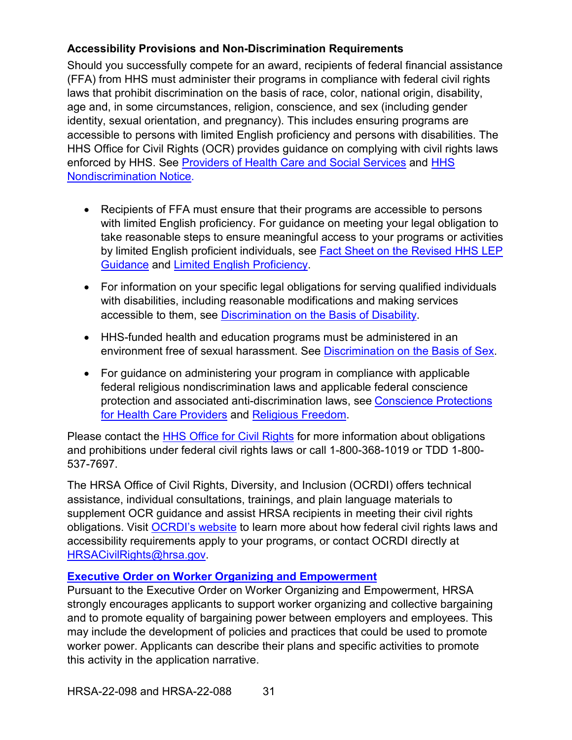## **Accessibility Provisions and Non-Discrimination Requirements**

Should you successfully compete for an award, recipients of federal financial assistance (FFA) from HHS must administer their programs in compliance with federal civil rights laws that prohibit discrimination on the basis of race, color, national origin, disability, age and, in some circumstances, religion, conscience, and sex (including gender identity, sexual orientation, and pregnancy). This includes ensuring programs are accessible to persons with limited English proficiency and persons with disabilities. The HHS Office for Civil Rights (OCR) provides guidance on complying with civil rights laws enforced by HHS. See [Providers of Health Care and Social Services](https://www.hhs.gov/civil-rights/for-providers/provider-obligations/index.html) and [HHS](https://www.hhs.gov/civil-rights/for-individuals/nondiscrimination/index.html)  [Nondiscrimination Notice.](https://www.hhs.gov/civil-rights/for-individuals/nondiscrimination/index.html)

- Recipients of FFA must ensure that their programs are accessible to persons with limited English proficiency. For guidance on meeting your legal obligation to take reasonable steps to ensure meaningful access to your programs or activities by limited English proficient individuals, see [Fact Sheet on the Revised HHS LEP](https://www.hhs.gov/civil-rights/for-individuals/special-topics/limited-english-proficiency/fact-sheet-guidance/index.html)  [Guidance](https://www.hhs.gov/civil-rights/for-individuals/special-topics/limited-english-proficiency/fact-sheet-guidance/index.html) and [Limited English Proficiency.](https://www.lep.gov/)
- For information on your specific legal obligations for serving qualified individuals with disabilities, including reasonable modifications and making services accessible to them, see [Discrimination on the Basis of Disability.](http://www.hhs.gov/ocr/civilrights/understanding/disability/index.html)
- HHS-funded health and education programs must be administered in an environment free of sexual harassment. See [Discrimination on the Basis of Sex.](https://www.hhs.gov/civil-rights/for-individuals/sex-discrimination/index.html)
- For guidance on administering your program in compliance with applicable federal religious nondiscrimination laws and applicable federal conscience protection and associated anti-discrimination laws, see [Conscience Protections](https://www.hhs.gov/conscience/conscience-protections/index.html)  [for Health Care Providers](https://www.hhs.gov/conscience/conscience-protections/index.html) and [Religious Freedom.](https://www.hhs.gov/conscience/religious-freedom/index.html)

Please contact the [HHS Office for Civil Rights](https://www.hhs.gov/ocr/about-us/contact-us/index.html) for more information about obligations and prohibitions under federal civil rights laws or call 1-800-368-1019 or TDD 1-800- 537-7697.

The HRSA Office of Civil Rights, Diversity, and Inclusion (OCRDI) offers technical assistance, individual consultations, trainings, and plain language materials to supplement OCR guidance and assist HRSA recipients in meeting their civil rights obligations. Visit [OCRDI's website](https://www.hrsa.gov/about/organization/bureaus/ocrdi#recipients) to learn more about how federal civil rights laws and accessibility requirements apply to your programs, or contact OCRDI directly at [HRSACivilRights@hrsa.gov.](mailto:HRSACivilRights@hrsa.gov)

## **[Executive Order on Worker Organizing and Empowerment](https://www.whitehouse.gov/briefing-room/presidential-actions/2021/04/26/executive-order-on-worker-organizing-and-empowerment/)**

Pursuant to the Executive Order on Worker Organizing and Empowerment, HRSA strongly encourages applicants to support worker organizing and collective bargaining and to promote equality of bargaining power between employers and employees. This may include the development of policies and practices that could be used to promote worker power. Applicants can describe their plans and specific activities to promote this activity in the application narrative.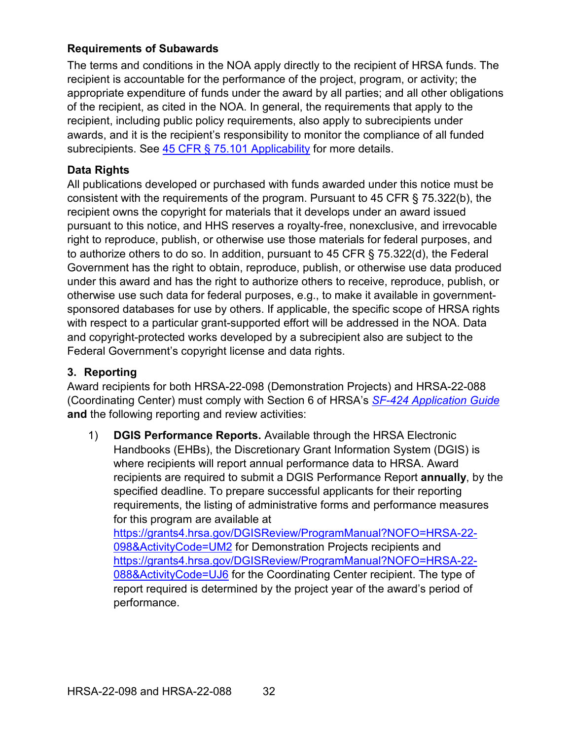## **Requirements of Subawards**

The terms and conditions in the NOA apply directly to the recipient of HRSA funds. The recipient is accountable for the performance of the project, program, or activity; the appropriate expenditure of funds under the award by all parties; and all other obligations of the recipient, as cited in the NOA. In general, the requirements that apply to the recipient, including public policy requirements, also apply to subrecipients under awards, and it is the recipient's responsibility to monitor the compliance of all funded subrecipients. See [45 CFR § 75.101 Applicability](https://www.ecfr.gov/cgi-bin/retrieveECFR?gp=1&SID=4d52364ec83fab994c665943dadf9cf7&ty=HTML&h=L&r=PART&n=pt45.1.75) for more details.

## **Data Rights**

All publications developed or purchased with funds awarded under this notice must be consistent with the requirements of the program. Pursuant to 45 CFR § 75.322(b), the recipient owns the copyright for materials that it develops under an award issued pursuant to this notice, and HHS reserves a royalty-free, nonexclusive, and irrevocable right to reproduce, publish, or otherwise use those materials for federal purposes, and to authorize others to do so. In addition, pursuant to 45 CFR § 75.322(d), the Federal Government has the right to obtain, reproduce, publish, or otherwise use data produced under this award and has the right to authorize others to receive, reproduce, publish, or otherwise use such data for federal purposes, e.g., to make it available in governmentsponsored databases for use by others. If applicable, the specific scope of HRSA rights with respect to a particular grant-supported effort will be addressed in the NOA. Data and copyright-protected works developed by a subrecipient also are subject to the Federal Government's copyright license and data rights.

## <span id="page-37-0"></span>**3. Reporting**

Award recipients for both HRSA-22-098 (Demonstration Projects) and HRSA-22-088 (Coordinating Center) must comply with Section 6 of HRSA's *SF-424 [Application Guide](http://www.hrsa.gov/grants/apply/applicationguide/sf424guide.pdf)* **and** the following reporting and review activities:

1) **DGIS Performance Reports.** Available through the HRSA Electronic Handbooks (EHBs), the Discretionary Grant Information System (DGIS) is where recipients will report annual performance data to HRSA. Award recipients are required to submit a DGIS Performance Report **annually**, by the specified deadline. To prepare successful applicants for their reporting requirements, the listing of administrative forms and performance measures for this program are available at [https://grants4.hrsa.gov/DGISReview/ProgramManual?NOFO=HRSA-22-](https://ehbcmn.hrsa.gov/DocumentService/api/anonymousdocument/ba9ae4b1-5b09-44fa-96d0-703dfc3fa01b) [098&ActivityCode=UM2](https://ehbcmn.hrsa.gov/DocumentService/api/anonymousdocument/ba9ae4b1-5b09-44fa-96d0-703dfc3fa01b) for Demonstration Projects recipients and [https://grants4.hrsa.gov/DGISReview/ProgramManual?NOFO=HRSA-22-](https://ehbcmn.hrsa.gov/DocumentService/api/anonymousdocument/c04ea312-d8ab-4c20-84fe-9931f6877733) [088&ActivityCode=UJ6](https://ehbcmn.hrsa.gov/DocumentService/api/anonymousdocument/c04ea312-d8ab-4c20-84fe-9931f6877733) for the Coordinating Center recipient. The type of report required is determined by the project year of the award's period of

performance.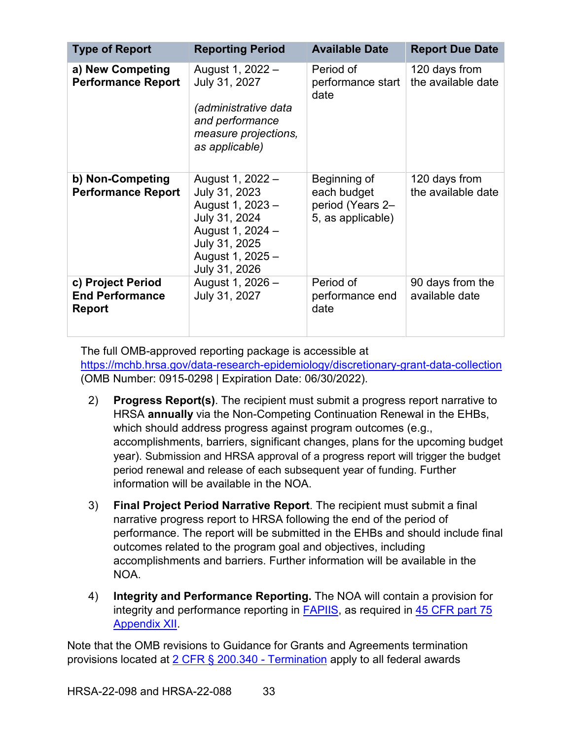| <b>Type of Report</b>                                        | <b>Reporting Period</b>                                                                                                                          | <b>Available Date</b>                                                | <b>Report Due Date</b>              |
|--------------------------------------------------------------|--------------------------------------------------------------------------------------------------------------------------------------------------|----------------------------------------------------------------------|-------------------------------------|
| a) New Competing<br><b>Performance Report</b>                | August 1, 2022 -<br>July 31, 2027<br><i>(administrative data</i><br>and performance<br>measure projections,<br>as applicable)                    | Period of<br>performance start<br>date                               | 120 days from<br>the available date |
| b) Non-Competing<br><b>Performance Report</b>                | August 1, 2022 -<br>July 31, 2023<br>August 1, 2023 -<br>July 31, 2024<br>August 1, 2024 -<br>July 31, 2025<br>August 1, 2025 -<br>July 31, 2026 | Beginning of<br>each budget<br>period (Years 2-<br>5, as applicable) | 120 days from<br>the available date |
| c) Project Period<br><b>End Performance</b><br><b>Report</b> | August 1, 2026 -<br>July 31, 2027                                                                                                                | Period of<br>performance end<br>date                                 | 90 days from the<br>available date  |

The full OMB-approved reporting package is accessible at <https://mchb.hrsa.gov/data-research-epidemiology/discretionary-grant-data-collection> (OMB Number: 0915-0298 | Expiration Date: 06/30/2022).

- 2) **Progress Report(s)**. The recipient must submit a progress report narrative to HRSA **annually** via the Non-Competing Continuation Renewal in the EHBs, which should address progress against program outcomes (e.g., accomplishments, barriers, significant changes, plans for the upcoming budget year). Submission and HRSA approval of a progress report will trigger the budget period renewal and release of each subsequent year of funding. Further information will be available in the NOA.
- 3) **Final Project Period Narrative Report**. The recipient must submit a final narrative progress report to HRSA following the end of the period of performance. The report will be submitted in the EHBs and should include final outcomes related to the program goal and objectives, including accomplishments and barriers. Further information will be available in the NOA.
- 4) **Integrity and Performance Reporting.** The NOA will contain a provision for integrity and performance reporting in **FAPIIS**, as required in 45 CFR part 75 [Appendix XII.](https://www.ecfr.gov/cgi-bin/retrieveECFR?gp=1&SID=4d52364ec83fab994c665943dadf9cf7&ty=HTML&h=L&r=PART&n=pt45.1.75)

Note that the OMB revisions to Guidance for Grants and Agreements termination provisions located at [2 CFR § 200.340 -](https://www.ecfr.gov/cgi-bin/text-idx?SID=da67ef9e79256f1b11e99d2ecb083228&mc=true&node=se2.1.200_1340&rgn=div8) Termination apply to all federal awards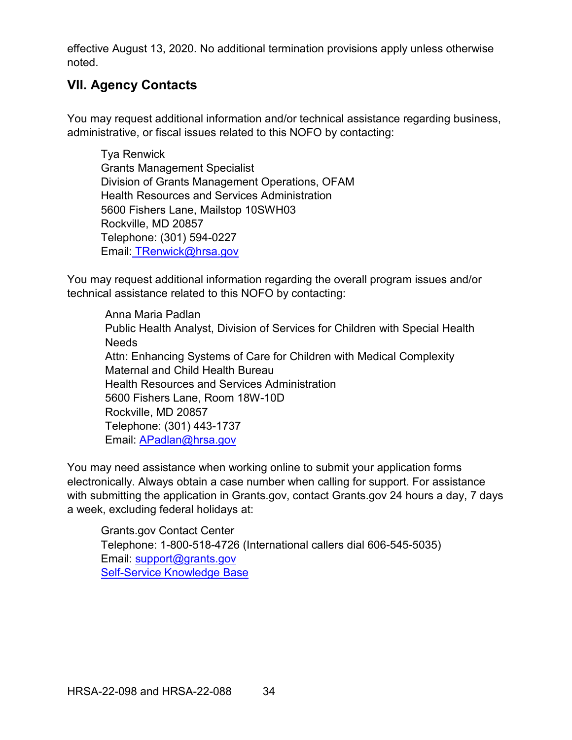effective August 13, 2020. No additional termination provisions apply unless otherwise noted.

## <span id="page-39-0"></span>**VII. Agency Contacts**

You may request additional information and/or technical assistance regarding business, administrative, or fiscal issues related to this NOFO by contacting:

Tya Renwick Grants Management Specialist Division of Grants Management Operations, OFAM Health Resources and Services Administration 5600 Fishers Lane, Mailstop 10SWH03 Rockville, MD 20857 Telephone: (301) 594-0227 Email: [TRenwick@hrsa.gov](mailto:TRenwick@hrsa.gov)

You may request additional information regarding the overall program issues and/or technical assistance related to this NOFO by contacting:

Anna Maria Padlan Public Health Analyst, Division of Services for Children with Special Health **Needs** Attn: Enhancing Systems of Care for Children with Medical Complexity Maternal and Child Health Bureau Health Resources and Services Administration 5600 Fishers Lane, Room 18W-10D Rockville, MD 20857 Telephone: (301) 443-1737 Email: [APadlan@hrsa.gov](mailto:APadlan@hrsa.gov)

You may need assistance when working online to submit your application forms electronically. Always obtain a case number when calling for support. For assistance with submitting the application in Grants.gov, contact Grants.gov 24 hours a day, 7 days a week, excluding federal holidays at:

Grants.gov Contact Center Telephone: 1-800-518-4726 (International callers dial 606-545-5035) Email: [support@grants.gov](mailto:support@grants.gov) [Self-Service Knowledge Base](https://gditshared.servicenowservices.com/hhs_grants?pt=Grants)